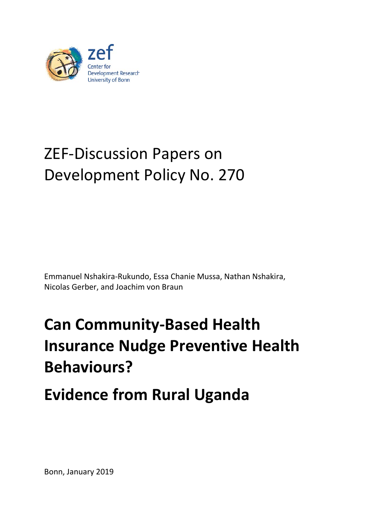

# ZEF-Discussion Papers on Development Policy No. 270

Emmanuel Nshakira-Rukundo, Essa Chanie Mussa, Nathan Nshakira, Nicolas Gerber, and Joachim von Braun

# **Can Community-Based Health Insurance Nudge Preventive Health Behaviours?**

**Evidence from Rural Uganda**

Bonn, January 2019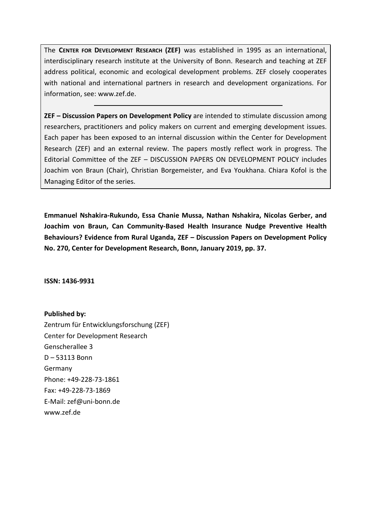The **CENTER FOR DEVELOPMENT RESEARCH (ZEF)** was established in 1995 as an international, interdisciplinary research institute at the University of Bonn. Research and teaching at ZEF address political, economic and ecological development problems. ZEF closely cooperates with national and international partners in research and development organizations. For information, see: www.zef.de.

**ZEF – Discussion Papers on Development Policy** are intended to stimulate discussion among researchers, practitioners and policy makers on current and emerging development issues. Each paper has been exposed to an internal discussion within the Center for Development Research (ZEF) and an external review. The papers mostly reflect work in progress. The Editorial Committee of the ZEF – DISCUSSION PAPERS ON DEVELOPMENT POLICY includes Joachim von Braun (Chair), Christian Borgemeister, and Eva Youkhana. Chiara Kofol is the Managing Editor of the series.

**Emmanuel Nshakira-Rukundo, Essa Chanie Mussa, Nathan Nshakira, Nicolas Gerber, and Joachim von Braun, Can Community-Based Health Insurance Nudge Preventive Health Behaviours? Evidence from Rural Uganda, ZEF – Discussion Papers on Development Policy No. 270, Center for Development Research, Bonn, January 2019, pp. 37.**

**ISSN: 1436-9931**

**Published by:** Zentrum für Entwicklungsforschung (ZEF) Center for Development Research Genscherallee 3 D – 53113 Bonn Germany Phone: +49-228-73-1861 Fax: +49-228-73-1869 E-Mail: zef@uni-bonn.de www.zef.de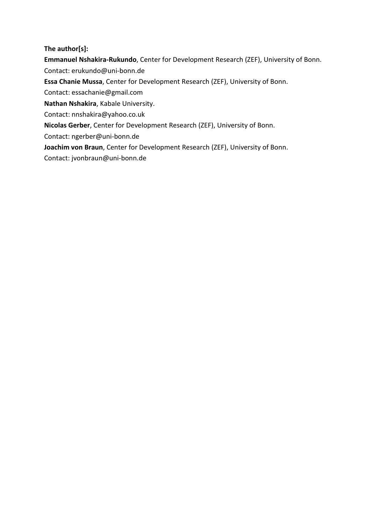### **The author[s]:**

**Emmanuel Nshakira-Rukundo**, Center for Development Research (ZEF), University of Bonn. Contact: erukundo@uni-bonn.de

**Essa Chanie Mussa**, Center for Development Research (ZEF), University of Bonn.

Contact: essachanie@gmail.com

**Nathan Nshakira**, Kabale University.

Contact: nnshakira@yahoo.co.uk

**Nicolas Gerber**, Center for Development Research (ZEF), University of Bonn.

Contact: ngerber@uni-bonn.de

**Joachim von Braun**, Center for Development Research (ZEF), University of Bonn.

Contact: jvonbraun@uni-bonn.de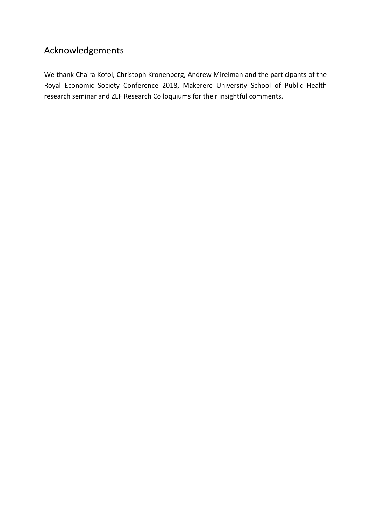# Acknowledgements

We thank Chaira Kofol, Christoph Kronenberg, Andrew Mirelman and the participants of the Royal Economic Society Conference 2018, Makerere University School of Public Health research seminar and ZEF Research Colloquiums for their insightful comments.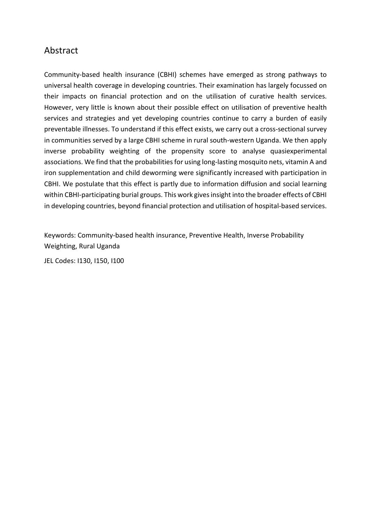# Abstract

Community-based health insurance (CBHI) schemes have emerged as strong pathways to universal health coverage in developing countries. Their examination has largely focussed on their impacts on financial protection and on the utilisation of curative health services. However, very little is known about their possible effect on utilisation of preventive health services and strategies and yet developing countries continue to carry a burden of easily preventable illnesses. To understand if this effect exists, we carry out a cross-sectional survey in communities served by a large CBHI scheme in rural south-western Uganda. We then apply inverse probability weighting of the propensity score to analyse quasiexperimental associations. We find that the probabilities for using long-lasting mosquito nets, vitamin A and iron supplementation and child deworming were significantly increased with participation in CBHI. We postulate that this effect is partly due to information diffusion and social learning within CBHI-participating burial groups. This work gives insight into the broader effects of CBHI in developing countries, beyond financial protection and utilisation of hospital-based services.

Keywords: Community-based health insurance, Preventive Health, Inverse Probability Weighting, Rural Uganda

JEL Codes: I130, I150, I100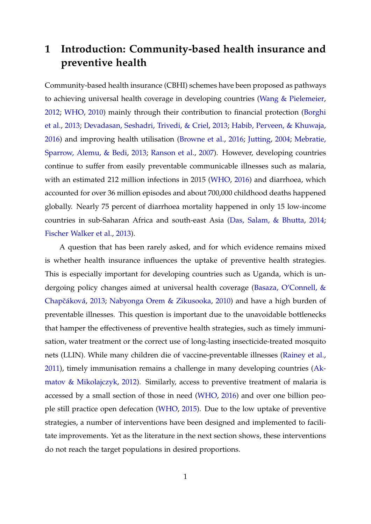# **1 Introduction: Community-based health insurance and preventive health**

Community-based health insurance (CBHI) schemes have been proposed as pathways to achieving universal health coverage in developing countries [\(Wang & Pielemeier,](#page-40-0) [2012;](#page-40-0) [WHO,](#page-40-1) [2010\)](#page-40-1) mainly through their contribution to financial protection [\(Borghi](#page-34-0) [et al.,](#page-34-0) [2013;](#page-34-0) [Devadasan, Seshadri, Trivedi, & Criel,](#page-35-0) [2013;](#page-35-0) [Habib, Perveen, & Khuwaja,](#page-35-1) [2016\)](#page-35-1) and improving health utilisation [\(Browne et al.,](#page-34-1) [2016;](#page-34-1) [Jutting,](#page-36-0) [2004;](#page-36-0) [Mebratie,](#page-37-0) [Sparrow, Alemu, & Bedi,](#page-37-0) [2013;](#page-37-0) [Ranson et al.,](#page-39-0) [2007\)](#page-39-0). However, developing countries continue to suffer from easily preventable communicable illnesses such as malaria, with an estimated 212 million infections in 2015 [\(WHO,](#page-40-2) [2016\)](#page-40-2) and diarrhoea, which accounted for over 36 million episodes and about 700,000 childhood deaths happened globally. Nearly 75 percent of diarrhoea mortality happened in only 15 low-income countries in sub-Saharan Africa and south-east Asia [\(Das, Salam, & Bhutta,](#page-34-2) [2014;](#page-34-2) [Fischer Walker et al.,](#page-35-2) [2013\)](#page-35-2).

A question that has been rarely asked, and for which evidence remains mixed is whether health insurance influences the uptake of preventive health strategies. This is especially important for developing countries such as Uganda, which is undergoing policy changes aimed at universal health coverage [\(Basaza, O'Connell, &](#page-33-0) Chapčáková, [2013;](#page-33-0) [Nabyonga Orem & Zikusooka,](#page-38-0) [2010\)](#page-38-0) and have a high burden of preventable illnesses. This question is important due to the unavoidable bottlenecks that hamper the effectiveness of preventive health strategies, such as timely immunisation, water treatment or the correct use of long-lasting insecticide-treated mosquito nets (LLIN). While many children die of vaccine-preventable illnesses [\(Rainey et al.,](#page-39-1) [2011\)](#page-39-1), timely immunisation remains a challenge in many developing countries [\(Ak](#page-33-1)[matov & Mikolajczyk,](#page-33-1) [2012\)](#page-33-1). Similarly, access to preventive treatment of malaria is accessed by a small section of those in need [\(WHO,](#page-40-2) [2016\)](#page-40-2) and over one billion people still practice open defecation [\(WHO,](#page-40-3) [2015\)](#page-40-3). Due to the low uptake of preventive strategies, a number of interventions have been designed and implemented to facilitate improvements. Yet as the literature in the next section shows, these interventions do not reach the target populations in desired proportions.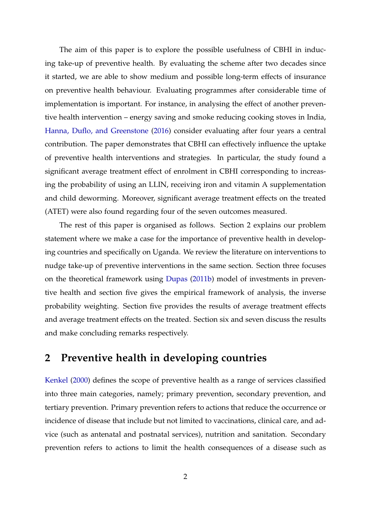The aim of this paper is to explore the possible usefulness of CBHI in inducing take-up of preventive health. By evaluating the scheme after two decades since it started, we are able to show medium and possible long-term effects of insurance on preventive health behaviour. Evaluating programmes after considerable time of implementation is important. For instance, in analysing the effect of another preventive health intervention – energy saving and smoke reducing cooking stoves in India, [Hanna, Duflo, and Greenstone](#page-35-3) [\(2016\)](#page-35-3) consider evaluating after four years a central contribution. The paper demonstrates that CBHI can effectively influence the uptake of preventive health interventions and strategies. In particular, the study found a significant average treatment effect of enrolment in CBHI corresponding to increasing the probability of using an LLIN, receiving iron and vitamin A supplementation and child deworming. Moreover, significant average treatment effects on the treated (ATET) were also found regarding four of the seven outcomes measured.

The rest of this paper is organised as follows. Section 2 explains our problem statement where we make a case for the importance of preventive health in developing countries and specifically on Uganda. We review the literature on interventions to nudge take-up of preventive interventions in the same section. Section three focuses on the theoretical framework using [Dupas](#page-35-4) [\(2011b\)](#page-35-4) model of investments in preventive health and section five gives the empirical framework of analysis, the inverse probability weighting. Section five provides the results of average treatment effects and average treatment effects on the treated. Section six and seven discuss the results and make concluding remarks respectively.

## **2 Preventive health in developing countries**

[Kenkel](#page-37-1) [\(2000\)](#page-37-1) defines the scope of preventive health as a range of services classified into three main categories, namely; primary prevention, secondary prevention, and tertiary prevention. Primary prevention refers to actions that reduce the occurrence or incidence of disease that include but not limited to vaccinations, clinical care, and advice (such as antenatal and postnatal services), nutrition and sanitation. Secondary prevention refers to actions to limit the health consequences of a disease such as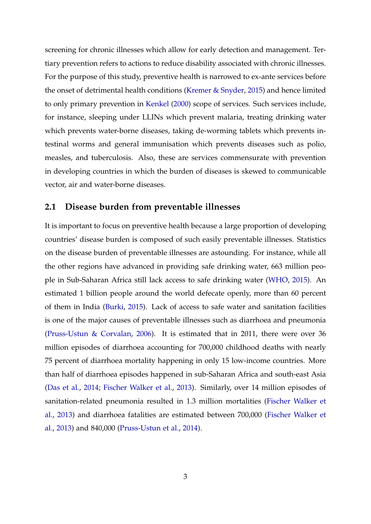screening for chronic illnesses which allow for early detection and management. Tertiary prevention refers to actions to reduce disability associated with chronic illnesses. For the purpose of this study, preventive health is narrowed to ex-ante services before the onset of detrimental health conditions [\(Kremer & Snyder,](#page-37-2) [2015\)](#page-37-2) and hence limited to only primary prevention in [Kenkel](#page-37-1) [\(2000\)](#page-37-1) scope of services. Such services include, for instance, sleeping under LLINs which prevent malaria, treating drinking water which prevents water-borne diseases, taking de-worming tablets which prevents intestinal worms and general immunisation which prevents diseases such as polio, measles, and tuberculosis. Also, these are services commensurate with prevention in developing countries in which the burden of diseases is skewed to communicable vector, air and water-borne diseases.

#### **2.1 Disease burden from preventable illnesses**

It is important to focus on preventive health because a large proportion of developing countries' disease burden is composed of such easily preventable illnesses. Statistics on the disease burden of preventable illnesses are astounding. For instance, while all the other regions have advanced in providing safe drinking water, 663 million people in Sub-Saharan Africa still lack access to safe drinking water [\(WHO,](#page-40-3) [2015\)](#page-40-3). An estimated 1 billion people around the world defecate openly, more than 60 percent of them in India [\(Burki,](#page-34-3) [2015\)](#page-34-3). Lack of access to safe water and sanitation facilities is one of the major causes of preventable illnesses such as diarrhoea and pneumonia [\(Pruss-Ustun & Corvalan,](#page-38-1) [2006\)](#page-38-1). It is estimated that in 2011, there were over 36 million episodes of diarrhoea accounting for 700,000 childhood deaths with nearly 75 percent of diarrhoea mortality happening in only 15 low-income countries. More than half of diarrhoea episodes happened in sub-Saharan Africa and south-east Asia [\(Das et al.,](#page-34-2) [2014;](#page-34-2) [Fischer Walker et al.,](#page-35-2) [2013\)](#page-35-2). Similarly, over 14 million episodes of sanitation-related pneumonia resulted in 1.3 million mortalities [\(Fischer Walker et](#page-35-2) [al.,](#page-35-2) [2013\)](#page-35-2) and diarrhoea fatalities are estimated between 700,000 [\(Fischer Walker et](#page-35-2) [al.,](#page-35-2) [2013\)](#page-35-2) and 840,000 [\(Pruss-Ustun et al.,](#page-38-2) [2014\)](#page-38-2).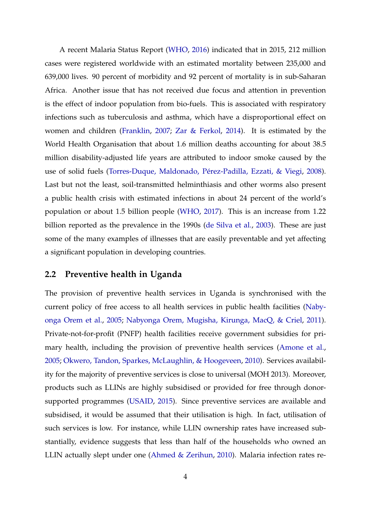A recent Malaria Status Report [\(WHO,](#page-40-2) [2016\)](#page-40-2) indicated that in 2015, 212 million cases were registered worldwide with an estimated mortality between 235,000 and 639,000 lives. 90 percent of morbidity and 92 percent of mortality is in sub-Saharan Africa. Another issue that has not received due focus and attention in prevention is the effect of indoor population from bio-fuels. This is associated with respiratory infections such as tuberculosis and asthma, which have a disproportional effect on women and children [\(Franklin,](#page-35-5) [2007;](#page-35-5) [Zar & Ferkol,](#page-40-4) [2014\)](#page-40-4). It is estimated by the World Health Organisation that about 1.6 million deaths accounting for about 38.5 million disability-adjusted life years are attributed to indoor smoke caused by the use of solid fuels [\(Torres-Duque, Maldonado, Pérez-Padilla, Ezzati, & Viegi,](#page-39-2) [2008\)](#page-39-2). Last but not the least, soil-transmitted helminthiasis and other worms also present a public health crisis with estimated infections in about 24 percent of the world's population or about 1.5 billion people [\(WHO,](#page-40-5) [2017\)](#page-40-5). This is an increase from 1.22 billion reported as the prevalence in the 1990s [\(de Silva et al.,](#page-34-4) [2003\)](#page-34-4). These are just some of the many examples of illnesses that are easily preventable and yet affecting a significant population in developing countries.

## **2.2 Preventive health in Uganda**

The provision of preventive health services in Uganda is synchronised with the current policy of free access to all health services in public health facilities [\(Naby](#page-38-3)[onga Orem et al.,](#page-38-3) [2005;](#page-38-3) [Nabyonga Orem, Mugisha, Kirunga, MacQ, & Criel,](#page-38-4) [2011\)](#page-38-4). Private-not-for-profit (PNFP) health facilities receive government subsidies for primary health, including the provision of preventive health services [\(Amone et al.,](#page-33-2) [2005;](#page-33-2) [Okwero, Tandon, Sparkes, McLaughlin, & Hoogeveen,](#page-38-5) [2010\)](#page-38-5). Services availability for the majority of preventive services is close to universal (MOH 2013). Moreover, products such as LLINs are highly subsidised or provided for free through donorsupported programmes [\(USAID,](#page-39-3) [2015\)](#page-39-3). Since preventive services are available and subsidised, it would be assumed that their utilisation is high. In fact, utilisation of such services is low. For instance, while LLIN ownership rates have increased substantially, evidence suggests that less than half of the households who owned an LLIN actually slept under one [\(Ahmed & Zerihun,](#page-33-3) [2010\)](#page-33-3). Malaria infection rates re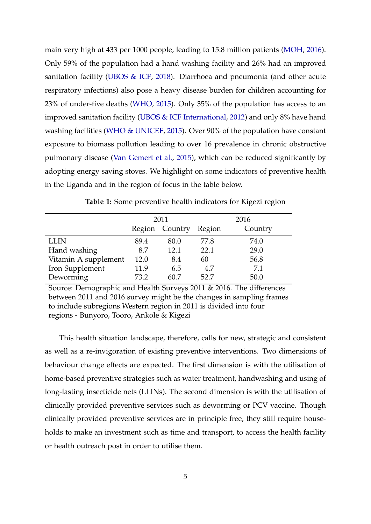main very high at 433 per 1000 people, leading to 15.8 million patients [\(MOH,](#page-38-6) [2016\)](#page-38-6). Only 59% of the population had a hand washing facility and 26% had an improved sanitation facility [\(UBOS & ICF,](#page-39-4) [2018\)](#page-39-4). Diarrhoea and pneumonia (and other acute respiratory infections) also pose a heavy disease burden for children accounting for 23% of under-five deaths [\(WHO,](#page-40-3) [2015\)](#page-40-3). Only 35% of the population has access to an improved sanitation facility [\(UBOS & ICF International,](#page-39-5) [2012\)](#page-39-5) and only 8% have hand washing facilities [\(WHO & UNICEF,](#page-40-6) [2015\)](#page-40-6). Over 90% of the population have constant exposure to biomass pollution leading to over 16 prevalence in chronic obstructive pulmonary disease [\(Van Gemert et al.,](#page-40-7) [2015\)](#page-40-7), which can be reduced significantly by adopting energy saving stoves. We highlight on some indicators of preventive health in the Uganda and in the region of focus in the table below.

**Table 1:** Some preventive health indicators for Kigezi region

|                      |      | 2011           | 2016   |         |  |
|----------------------|------|----------------|--------|---------|--|
|                      |      | Region Country | Region | Country |  |
| <b>LLIN</b>          | 89.4 | 80.0           | 77.8   | 74.0    |  |
| Hand washing         | 8.7  | 12.1           | 22.1   | 29.0    |  |
| Vitamin A supplement | 12.0 | 8.4            | 60     | 56.8    |  |
| Iron Supplement      | 11.9 | 6.5            | 4.7    | 7.1     |  |
| Deworming            | 73.2 | 60 7           | 52.7   | 50.0    |  |

Source: Demographic and Health Surveys 2011 & 2016. The differences between 2011 and 2016 survey might be the changes in sampling frames to include subregions.Western region in 2011 is divided into four regions - Bunyoro, Tooro, Ankole & Kigezi

This health situation landscape, therefore, calls for new, strategic and consistent as well as a re-invigoration of existing preventive interventions. Two dimensions of behaviour change effects are expected. The first dimension is with the utilisation of home-based preventive strategies such as water treatment, handwashing and using of long-lasting insecticide nets (LLINs). The second dimension is with the utilisation of clinically provided preventive services such as deworming or PCV vaccine. Though clinically provided preventive services are in principle free, they still require households to make an investment such as time and transport, to access the health facility or health outreach post in order to utilise them.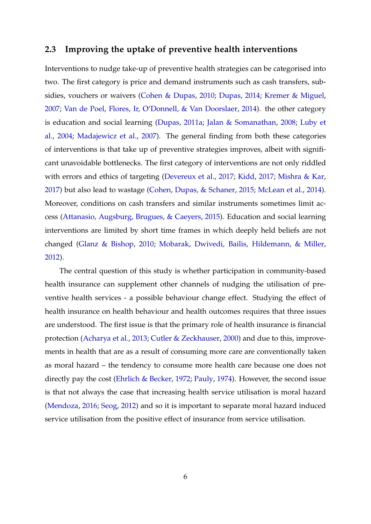### **2.3 Improving the uptake of preventive health interventions**

Interventions to nudge take-up of preventive health strategies can be categorised into two. The first category is price and demand instruments such as cash transfers, subsidies, vouchers or waivers [\(Cohen & Dupas,](#page-34-5) [2010;](#page-34-5) [Dupas,](#page-35-6) [2014;](#page-35-6) [Kremer & Miguel,](#page-37-3) [2007;](#page-37-3) [Van de Poel, Flores, Ir, O'Donnell, & Van Doorslaer,](#page-39-6) [2014\)](#page-39-6). the other category is education and social learning [\(Dupas,](#page-35-7) [2011a;](#page-35-7) [Jalan & Somanathan,](#page-36-1) [2008;](#page-36-1) [Luby et](#page-37-4) [al.,](#page-37-4) [2004;](#page-37-4) [Madajewicz et al.,](#page-37-5) [2007\)](#page-37-5). The general finding from both these categories of interventions is that take up of preventive strategies improves, albeit with significant unavoidable bottlenecks. The first category of interventions are not only riddled with errors and ethics of targeting [\(Devereux et al.,](#page-35-8) [2017;](#page-35-8) [Kidd,](#page-37-6) [2017;](#page-37-6) [Mishra & Kar,](#page-38-7) [2017\)](#page-38-7) but also lead to wastage [\(Cohen, Dupas, & Schaner,](#page-34-6) [2015;](#page-34-6) [McLean et al.,](#page-37-7) [2014\)](#page-37-7). Moreover, conditions on cash transfers and similar instruments sometimes limit access [\(Attanasio, Augsburg, Brugues, & Caeyers,](#page-33-4) [2015\)](#page-33-4). Education and social learning interventions are limited by short time frames in which deeply held beliefs are not changed [\(Glanz & Bishop,](#page-35-9) [2010;](#page-35-9) [Mobarak, Dwivedi, Bailis, Hildemann, & Miller,](#page-38-8) [2012\)](#page-38-8).

The central question of this study is whether participation in community-based health insurance can supplement other channels of nudging the utilisation of preventive health services - a possible behaviour change effect. Studying the effect of health insurance on health behaviour and health outcomes requires that three issues are understood. The first issue is that the primary role of health insurance is financial protection [\(Acharya et al.,](#page-33-5) [2013;](#page-33-5) [Cutler & Zeckhauser,](#page-34-7) [2000\)](#page-34-7) and due to this, improvements in health that are as a result of consuming more care are conventionally taken as moral hazard – the tendency to consume more health care because one does not directly pay the cost [\(Ehrlich & Becker,](#page-35-10) [1972;](#page-35-10) [Pauly,](#page-38-9) [1974\)](#page-38-9). However, the second issue is that not always the case that increasing health service utilisation is moral hazard [\(Mendoza,](#page-37-8) [2016;](#page-37-8) [Seog,](#page-39-7) [2012\)](#page-39-7) and so it is important to separate moral hazard induced service utilisation from the positive effect of insurance from service utilisation.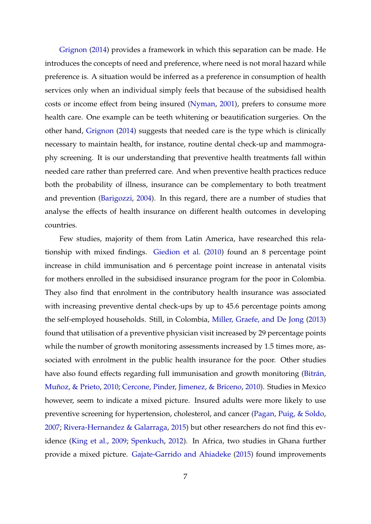[Grignon](#page-35-11) [\(2014\)](#page-35-11) provides a framework in which this separation can be made. He introduces the concepts of need and preference, where need is not moral hazard while preference is. A situation would be inferred as a preference in consumption of health services only when an individual simply feels that because of the subsidised health costs or income effect from being insured [\(Nyman,](#page-38-10) [2001\)](#page-38-10), prefers to consume more health care. One example can be teeth whitening or beautification surgeries. On the other hand, [Grignon](#page-35-11) [\(2014\)](#page-35-11) suggests that needed care is the type which is clinically necessary to maintain health, for instance, routine dental check-up and mammography screening. It is our understanding that preventive health treatments fall within needed care rather than preferred care. And when preventive health practices reduce both the probability of illness, insurance can be complementary to both treatment and prevention [\(Barigozzi,](#page-33-6) [2004\)](#page-33-6). In this regard, there are a number of studies that analyse the effects of health insurance on different health outcomes in developing countries.

Few studies, majority of them from Latin America, have researched this relationship with mixed findings. [Giedion et al.](#page-35-12) [\(2010\)](#page-35-12) found an 8 percentage point increase in child immunisation and 6 percentage point increase in antenatal visits for mothers enrolled in the subsidised insurance program for the poor in Colombia. They also find that enrolment in the contributory health insurance was associated with increasing preventive dental check-ups by up to 45.6 percentage points among the self-employed households. Still, in Colombia, [Miller, Graefe, and De Jong](#page-38-11) [\(2013\)](#page-38-11) found that utilisation of a preventive physician visit increased by 29 percentage points while the number of growth monitoring assessments increased by 1.5 times more, associated with enrolment in the public health insurance for the poor. Other studies have also found effects regarding full immunisation and growth monitoring [\(Bitrán,](#page-34-8) [Muñoz, & Prieto,](#page-34-8) [2010;](#page-34-8) [Cercone, Pinder, Jimenez, & Briceno,](#page-34-9) [2010\)](#page-34-9). Studies in Mexico however, seem to indicate a mixed picture. Insured adults were more likely to use preventive screening for hypertension, cholesterol, and cancer [\(Pagan, Puig, & Soldo,](#page-38-12) [2007;](#page-38-12) [Rivera-Hernandez & Galarraga,](#page-39-8) [2015\)](#page-39-8) but other researchers do not find this evidence [\(King et al.,](#page-37-9) [2009;](#page-37-9) [Spenkuch,](#page-39-9) [2012\)](#page-39-9). In Africa, two studies in Ghana further provide a mixed picture. [Gajate-Garrido and Ahiadeke](#page-35-13) [\(2015\)](#page-35-13) found improvements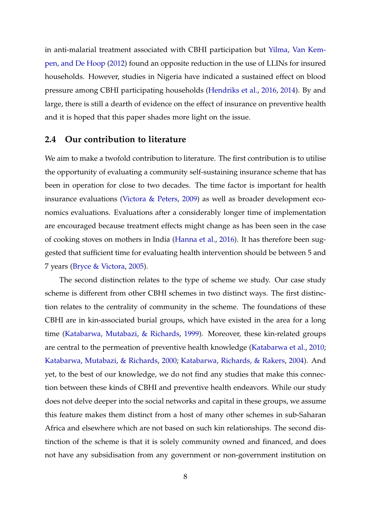in anti-malarial treatment associated with CBHI participation but [Yilma, Van Kem](#page-40-8)[pen, and De Hoop](#page-40-8) [\(2012\)](#page-40-8) found an opposite reduction in the use of LLINs for insured households. However, studies in Nigeria have indicated a sustained effect on blood pressure among CBHI participating households [\(Hendriks et al.,](#page-36-2) [2016,](#page-36-2) [2014\)](#page-36-3). By and large, there is still a dearth of evidence on the effect of insurance on preventive health and it is hoped that this paper shades more light on the issue.

#### **2.4 Our contribution to literature**

We aim to make a twofold contribution to literature. The first contribution is to utilise the opportunity of evaluating a community self-sustaining insurance scheme that has been in operation for close to two decades. The time factor is important for health insurance evaluations [\(Victora & Peters,](#page-40-9) [2009\)](#page-40-9) as well as broader development economics evaluations. Evaluations after a considerably longer time of implementation are encouraged because treatment effects might change as has been seen in the case of cooking stoves on mothers in India [\(Hanna et al.,](#page-35-3) [2016\)](#page-35-3). It has therefore been suggested that sufficient time for evaluating health intervention should be between 5 and 7 years [\(Bryce & Victora,](#page-34-10) [2005\)](#page-34-10).

The second distinction relates to the type of scheme we study. Our case study scheme is different from other CBHI schemes in two distinct ways. The first distinction relates to the centrality of community in the scheme. The foundations of these CBHI are in kin-associated burial groups, which have existed in the area for a long time [\(Katabarwa, Mutabazi, & Richards,](#page-36-4) [1999\)](#page-36-4). Moreover, these kin-related groups are central to the permeation of preventive health knowledge [\(Katabarwa et al.,](#page-36-5) [2010;](#page-36-5) [Katabarwa, Mutabazi, & Richards,](#page-36-6) [2000;](#page-36-6) [Katabarwa, Richards, & Rakers,](#page-37-10) [2004\)](#page-37-10). And yet, to the best of our knowledge, we do not find any studies that make this connection between these kinds of CBHI and preventive health endeavors. While our study does not delve deeper into the social networks and capital in these groups, we assume this feature makes them distinct from a host of many other schemes in sub-Saharan Africa and elsewhere which are not based on such kin relationships. The second distinction of the scheme is that it is solely community owned and financed, and does not have any subsidisation from any government or non-government institution on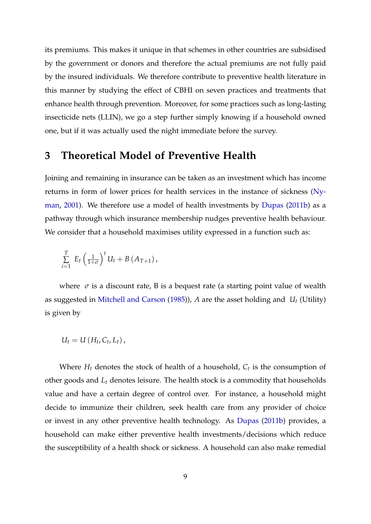its premiums. This makes it unique in that schemes in other countries are subsidised by the government or donors and therefore the actual premiums are not fully paid by the insured individuals. We therefore contribute to preventive health literature in this manner by studying the effect of CBHI on seven practices and treatments that enhance health through prevention. Moreover, for some practices such as long-lasting insecticide nets (LLIN), we go a step further simply knowing if a household owned one, but if it was actually used the night immediate before the survey.

## **3 Theoretical Model of Preventive Health**

Joining and remaining in insurance can be taken as an investment which has income returns in form of lower prices for health services in the instance of sickness [\(Ny](#page-38-10)[man,](#page-38-10) [2001\)](#page-38-10). We therefore use a model of health investments by [Dupas](#page-35-4) [\(2011b\)](#page-35-4) as a pathway through which insurance membership nudges preventive health behaviour. We consider that a household maximises utility expressed in a function such as:

$$
\sum_{i=1}^{T} E_t \left(\frac{1}{1+\sigma}\right)^t U_t + B\left(A_{T+1}\right),
$$

where  $\sigma$  is a discount rate, B is a bequest rate (a starting point value of wealth as suggested in [Mitchell and Carson](#page-38-13) [\(1985\)](#page-38-13)), *A* are the asset holding and *U<sup>t</sup>* (Utility) is given by

$$
U_t = U(H_t, C_t, L_t),
$$

Where *H<sup>t</sup>* denotes the stock of health of a household, *C<sup>t</sup>* is the consumption of other goods and *L<sup>t</sup>* denotes leisure. The health stock is a commodity that households value and have a certain degree of control over. For instance, a household might decide to immunize their children, seek health care from any provider of choice or invest in any other preventive health technology. As [Dupas](#page-35-4) [\(2011b\)](#page-35-4) provides, a household can make either preventive health investments/decisions which reduce the susceptibility of a health shock or sickness. A household can also make remedial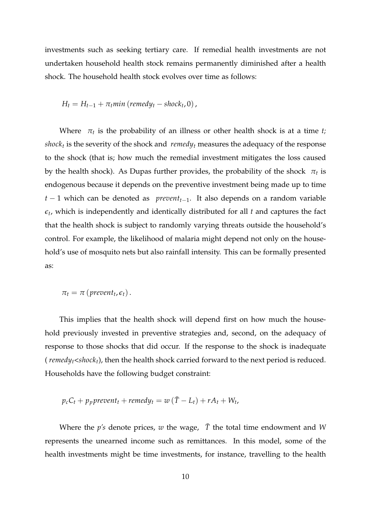investments such as seeking tertiary care. If remedial health investments are not undertaken household health stock remains permanently diminished after a health shock. The household health stock evolves over time as follows:

$$
H_t = H_{t-1} + \pi_t min \ (remedy_t - shock_t, 0),
$$

Where *π<sup>t</sup>* is the probability of an illness or other health shock is at a time *t; shock<sup>t</sup>* is the severity of the shock and *remedy<sup>t</sup>* measures the adequacy of the response to the shock (that is; how much the remedial investment mitigates the loss caused by the health shock). As Dupas further provides, the probability of the shock *π<sup>t</sup>* is endogenous because it depends on the preventive investment being made up to time *t* − 1 which can be denoted as *preventt*−1. It also depends on a random variable  $\epsilon_t$ , which is independently and identically distributed for all  $t$  and captures the fact that the health shock is subject to randomly varying threats outside the household's control. For example, the likelihood of malaria might depend not only on the household's use of mosquito nets but also rainfall intensity. This can be formally presented as:

$$
\pi_t = \pi \left( \text{prevent}_t, \epsilon_t \right).
$$

This implies that the health shock will depend first on how much the household previously invested in preventive strategies and, second, on the adequacy of response to those shocks that did occur. If the response to the shock is inadequate ( *remedyt<shockt*), then the health shock carried forward to the next period is reduced. Households have the following budget constraint:

$$
p_c C_t + p_p \text{prevent}_t + \text{remedy}_t = w(\bar{T} - L_t) + rA_t + W_t,
$$

Where the  $p's$  denote prices,  $w$  the wage,  $\bar{T}$  the total time endowment and  $W$ represents the unearned income such as remittances. In this model, some of the health investments might be time investments, for instance, travelling to the health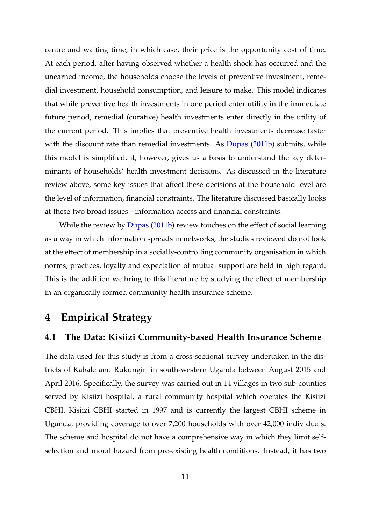centre and waiting time, in which case, their price is the opportunity cost of time. At each period, after having observed whether a health shock has occurred and the unearned income, the households choose the levels of preventive investment, remedial investment, household consumption, and leisure to make. This model indicates that while preventive health investments in one period enter utility in the immediate future period, remedial (curative) health investments enter directly in the utility of the current period. This implies that preventive health investments decrease faster with the discount rate than remedial investments. As [Dupas](#page-35-4) [\(2011b\)](#page-35-4) submits, while this model is simplified, it, however, gives us a basis to understand the key determinants of households' health investment decisions. As discussed in the literature review above, some key issues that affect these decisions at the household level are the level of information, financial constraints. The literature discussed basically looks at these two broad issues - information access and financial constraints.

While the review by [Dupas](#page-35-4) [\(2011b\)](#page-35-4) review touches on the effect of social learning as a way in which information spreads in networks, the studies reviewed do not look at the effect of membership in a socially-controlling community organisation in which norms, practices, loyalty and expectation of mutual support are held in high regard. This is the addition we bring to this literature by studying the effect of membership in an organically formed community health insurance scheme.

# **4 Empirical Strategy**

## **4.1 The Data: Kisiizi Community-based Health Insurance Scheme**

The data used for this study is from a cross-sectional survey undertaken in the districts of Kabale and Rukungiri in south-western Uganda between August 2015 and April 2016. Specifically, the survey was carried out in 14 villages in two sub-counties served by Kisiizi hospital, a rural community hospital which operates the Kisiizi CBHI. Kisiizi CBHI started in 1997 and is currently the largest CBHI scheme in Uganda, providing coverage to over 7,200 households with over 42,000 individuals. The scheme and hospital do not have a comprehensive way in which they limit selfselection and moral hazard from pre-existing health conditions. Instead, it has two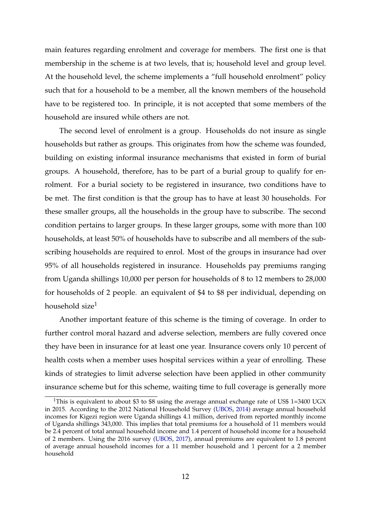main features regarding enrolment and coverage for members. The first one is that membership in the scheme is at two levels, that is; household level and group level. At the household level, the scheme implements a "full household enrolment" policy such that for a household to be a member, all the known members of the household have to be registered too. In principle, it is not accepted that some members of the household are insured while others are not.

The second level of enrolment is a group. Households do not insure as single households but rather as groups. This originates from how the scheme was founded, building on existing informal insurance mechanisms that existed in form of burial groups. A household, therefore, has to be part of a burial group to qualify for enrolment. For a burial society to be registered in insurance, two conditions have to be met. The first condition is that the group has to have at least 30 households. For these smaller groups, all the households in the group have to subscribe. The second condition pertains to larger groups. In these larger groups, some with more than 100 households, at least 50% of households have to subscribe and all members of the subscribing households are required to enrol. Most of the groups in insurance had over 95% of all households registered in insurance. Households pay premiums ranging from Uganda shillings 10,000 per person for households of 8 to 12 members to 28,000 for households of 2 people. an equivalent of \$4 to \$8 per individual, depending on household size $1$ 

Another important feature of this scheme is the timing of coverage. In order to further control moral hazard and adverse selection, members are fully covered once they have been in insurance for at least one year. Insurance covers only 10 percent of health costs when a member uses hospital services within a year of enrolling. These kinds of strategies to limit adverse selection have been applied in other community insurance scheme but for this scheme, waiting time to full coverage is generally more

<sup>&</sup>lt;sup>1</sup>This is equivalent to about \$3 to \$8 using the average annual exchange rate of US\$ 1=3400 UGX in 2015. According to the 2012 National Household Survey [\(UBOS,](#page-39-10) [2014\)](#page-39-10) average annual household incomes for Kigezi region were Uganda shillings 4.1 million, derived from reported monthly income of Uganda shillings 343,000. This implies that total premiums for a household of 11 members would be 2.4 percent of total annual household income and 1.4 percent of household income for a household of 2 members. Using the 2016 survey [\(UBOS,](#page-39-11) [2017\)](#page-39-11), annual premiums are equivalent to 1.8 percent of average annual household incomes for a 11 member household and 1 percent for a 2 member household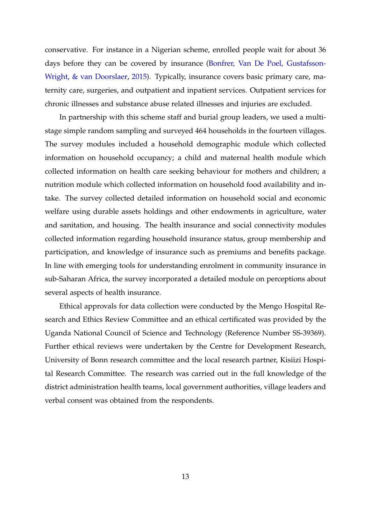conservative. For instance in a Nigerian scheme, enrolled people wait for about 36 days before they can be covered by insurance [\(Bonfrer, Van De Poel, Gustafsson-](#page-34-11)[Wright, & van Doorslaer,](#page-34-11) [2015\)](#page-34-11). Typically, insurance covers basic primary care, maternity care, surgeries, and outpatient and inpatient services. Outpatient services for chronic illnesses and substance abuse related illnesses and injuries are excluded.

In partnership with this scheme staff and burial group leaders, we used a multistage simple random sampling and surveyed 464 households in the fourteen villages. The survey modules included a household demographic module which collected information on household occupancy; a child and maternal health module which collected information on health care seeking behaviour for mothers and children; a nutrition module which collected information on household food availability and intake. The survey collected detailed information on household social and economic welfare using durable assets holdings and other endowments in agriculture, water and sanitation, and housing. The health insurance and social connectivity modules collected information regarding household insurance status, group membership and participation, and knowledge of insurance such as premiums and benefits package. In line with emerging tools for understanding enrolment in community insurance in sub-Saharan Africa, the survey incorporated a detailed module on perceptions about several aspects of health insurance.

Ethical approvals for data collection were conducted by the Mengo Hospital Research and Ethics Review Committee and an ethical certificated was provided by the Uganda National Council of Science and Technology (Reference Number SS-39369). Further ethical reviews were undertaken by the Centre for Development Research, University of Bonn research committee and the local research partner, Kisiizi Hospital Research Committee. The research was carried out in the full knowledge of the district administration health teams, local government authorities, village leaders and verbal consent was obtained from the respondents.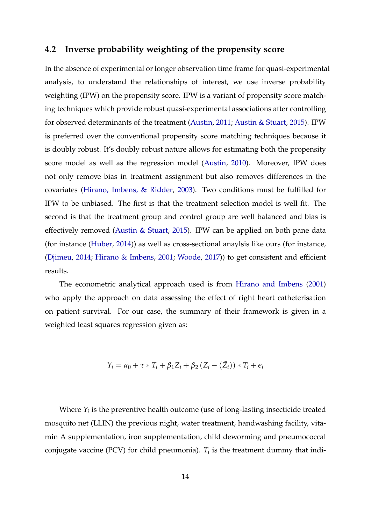## **4.2 Inverse probability weighting of the propensity score**

In the absence of experimental or longer observation time frame for quasi-experimental analysis, to understand the relationships of interest, we use inverse probability weighting (IPW) on the propensity score. IPW is a variant of propensity score matching techniques which provide robust quasi-experimental associations after controlling for observed determinants of the treatment [\(Austin,](#page-33-7) [2011;](#page-33-7) [Austin & Stuart,](#page-33-8) [2015\)](#page-33-8). IPW is preferred over the conventional propensity score matching techniques because it is doubly robust. It's doubly robust nature allows for estimating both the propensity score model as well as the regression model [\(Austin,](#page-33-9) [2010\)](#page-33-9). Moreover, IPW does not only remove bias in treatment assignment but also removes differences in the covariates [\(Hirano, Imbens, & Ridder,](#page-36-7) [2003\)](#page-36-7). Two conditions must be fulfilled for IPW to be unbiased. The first is that the treatment selection model is well fit. The second is that the treatment group and control group are well balanced and bias is effectively removed [\(Austin & Stuart,](#page-33-8) [2015\)](#page-33-8). IPW can be applied on both pane data (for instance [\(Huber,](#page-36-8) [2014\)](#page-36-8)) as well as cross-sectional anaylsis like ours (for instance, [\(Djimeu,](#page-35-14) [2014;](#page-35-14) [Hirano & Imbens,](#page-36-9) [2001;](#page-36-9) [Woode,](#page-40-10) [2017\)](#page-40-10)) to get consistent and efficient results.

The econometric analytical approach used is from [Hirano and Imbens](#page-36-9) [\(2001\)](#page-36-9) who apply the approach on data assessing the effect of right heart catheterisation on patient survival. For our case, the summary of their framework is given in a weighted least squares regression given as:

$$
Y_i = \alpha_0 + \tau * T_i + \beta_1 Z_i + \beta_2 (Z_i - (\bar{Z}_i)) * T_i + \epsilon_i
$$

Where  $Y_i$  is the preventive health outcome (use of long-lasting insecticide treated mosquito net (LLIN) the previous night, water treatment, handwashing facility, vitamin A supplementation, iron supplementation, child deworming and pneumococcal conjugate vaccine (PCV) for child pneumonia).  $T_i$  is the treatment dummy that indi-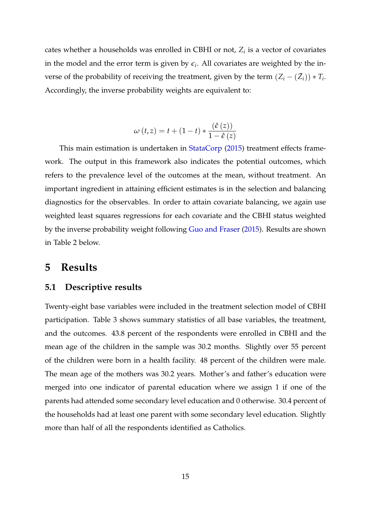cates whether a households was enrolled in CBHI or not, *Z<sup>i</sup>* is a vector of covariates in the model and the error term is given by  $\epsilon_i$ . All covariates are weighted by the inverse of the probability of receiving the treatment, given by the term  $(Z_i - (\bar{Z}_i)) * T_i$ . Accordingly, the inverse probability weights are equivalent to:

$$
\omega(t,z) = t + (1-t) * \frac{(\hat{\epsilon}(z))}{1 - \hat{\epsilon}(z)}
$$

This main estimation is undertaken in [StataCorp](#page-39-12) [\(2015\)](#page-39-12) treatment effects framework. The output in this framework also indicates the potential outcomes, which refers to the prevalence level of the outcomes at the mean, without treatment. An important ingredient in attaining efficient estimates is in the selection and balancing diagnostics for the observables. In order to attain covariate balancing, we again use weighted least squares regressions for each covariate and the CBHI status weighted by the inverse probability weight following [Guo and Fraser](#page-35-15) [\(2015\)](#page-35-15). Results are shown in Table 2 below.

## **5 Results**

#### **5.1 Descriptive results**

Twenty-eight base variables were included in the treatment selection model of CBHI participation. Table 3 shows summary statistics of all base variables, the treatment, and the outcomes. 43.8 percent of the respondents were enrolled in CBHI and the mean age of the children in the sample was 30.2 months. Slightly over 55 percent of the children were born in a health facility. 48 percent of the children were male. The mean age of the mothers was 30.2 years. Mother's and father's education were merged into one indicator of parental education where we assign 1 if one of the parents had attended some secondary level education and 0 otherwise. 30.4 percent of the households had at least one parent with some secondary level education. Slightly more than half of all the respondents identified as Catholics.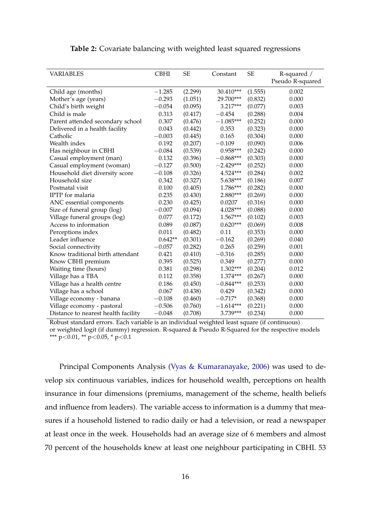| <b>VARIABLES</b>                    | <b>CBHI</b> | <b>SE</b> | Constant    | <b>SE</b> | R-squared /<br>Pseudo R-squared |
|-------------------------------------|-------------|-----------|-------------|-----------|---------------------------------|
|                                     |             |           |             |           |                                 |
| Child age (months)                  | $-1.285$    | (2.299)   | 30.410***   | (1.555)   | 0.002                           |
| Mother's age (years)                | $-0.293$    | (1.051)   | 29.700***   | (0.832)   | 0.000                           |
| Child's birth weight                | $-0.054$    | (0.095)   | 3.217***    | (0.077)   | 0.003                           |
| Child is male                       | 0.313       | (0.417)   | $-0.454$    | (0.288)   | 0.004                           |
| Parent attended secondary school    | 0.307       | (0.476)   | $-1.085***$ | (0.252)   | 0.000                           |
| Delivered in a health facility      | 0.043       | (0.442)   | 0.353       | (0.323)   | 0.000                           |
| Catholic                            | $-0.003$    | (0.445)   | 0.165       | (0.304)   | 0.000                           |
| Wealth index                        | 0.192       | (0.207)   | $-0.109$    | (0.090)   | 0.006                           |
| Has neighbour in CBHI               | $-0.084$    | (0.539)   | 0.958***    | (0.242)   | 0.000                           |
| Casual employment (man)             | 0.132       | (0.396)   | $-0.868***$ | (0.303)   | 0.000                           |
| Casual employment (woman)           | $-0.127$    | (0.500)   | $-2.429***$ | (0.252)   | 0.000                           |
| Household diet diversity score      | $-0.108$    | (0.326)   | 4.524***    | (0.284)   | 0.002                           |
| Household size                      | 0.342       | (0.327)   | 5.638***    | (0.186)   | 0.007                           |
| Postnatal visit                     | 0.100       | (0.405)   | 1.786***    | (0.282)   | 0.000                           |
| <b>IPTP</b> for malaria             | 0.235       | (0.430)   | $2.880***$  | (0.269)   | 0.000                           |
| ANC essential components            | 0.230       | (0.425)   | 0.0207      | (0.316)   | 0.000                           |
| Size of funeral group (log)         | $-0.007$    | (0.094)   | 4.028***    | (0.088)   | 0.000                           |
| Village funeral groups (log)        | 0.077       | (0.172)   | 1.567***    | (0.102)   | 0.003                           |
| Access to information               | 0.089       | (0.087)   | $0.620***$  | (0.069)   | 0.008                           |
| Perceptions index                   | 0.011       | (0.482)   | 0.11        | (0.353)   | 0.000                           |
| Leader influence                    | $0.642**$   | (0.301)   | $-0.162$    | (0.269)   | 0.040                           |
| Social connectivity                 | $-0.057$    | (0.282)   | 0.265       | (0.259)   | 0.001                           |
| Know traditional birth attendant    | 0.421       | (0.410)   | $-0.316$    | (0.285)   | 0.000                           |
| Know CBHI premium                   | 0.395       | (0.525)   | 0.349       | (0.277)   | 0.000                           |
| Waiting time (hours)                | 0.381       | (0.298)   | 1.302***    | (0.204)   | 0.012                           |
| Village has a TBA                   | 0.112       | (0.358)   | 1.374***    | (0.267)   | 0.000                           |
| Village has a health centre         | 0.186       | (0.450)   | $-0.844***$ | (0.253)   | 0.000                           |
| Village has a school                | 0.067       | (0.438)   | 0.429       | (0.342)   | 0.000                           |
| Village economy - banana            | $-0.108$    | (0.460)   | $-0.717*$   | (0.368)   | 0.000                           |
| Village economy - pastoral          | $-0.506$    | (0.760)   | $-1.614***$ | (0.221)   | 0.000                           |
| Distance to nearest health facility | $-0.048$    | (0.708)   | 3.739***    | (0.234)   | 0.000                           |

#### **Table 2:** Covariate balancing with weighted least squared regressions

Robust standard errors. Each variable is an individual weighted least square (if continuous) or weighted logit (if dummy) regression. R-squared & Pseudo R-Squared for the respective models \*\*\* p<0.01, \*\* p<0.05, \* p<0.1

Principal Components Analysis [\(Vyas & Kumaranayake,](#page-40-11) [2006\)](#page-40-11) was used to develop six continuous variables, indices for household wealth, perceptions on health insurance in four dimensions (premiums, management of the scheme, health beliefs and influence from leaders). The variable access to information is a dummy that measures if a household listened to radio daily or had a television, or read a newspaper at least once in the week. Households had an average size of 6 members and almost 70 percent of the households knew at least one neighbour participating in CBHI. 53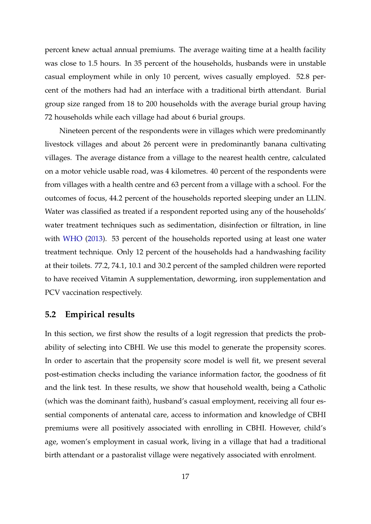percent knew actual annual premiums. The average waiting time at a health facility was close to 1.5 hours. In 35 percent of the households, husbands were in unstable casual employment while in only 10 percent, wives casually employed. 52.8 percent of the mothers had had an interface with a traditional birth attendant. Burial group size ranged from 18 to 200 households with the average burial group having 72 households while each village had about 6 burial groups.

Nineteen percent of the respondents were in villages which were predominantly livestock villages and about 26 percent were in predominantly banana cultivating villages. The average distance from a village to the nearest health centre, calculated on a motor vehicle usable road, was 4 kilometres. 40 percent of the respondents were from villages with a health centre and 63 percent from a village with a school. For the outcomes of focus, 44.2 percent of the households reported sleeping under an LLIN. Water was classified as treated if a respondent reported using any of the households' water treatment techniques such as sedimentation, disinfection or filtration, in line with [WHO](#page-40-12) [\(2013\)](#page-40-12). 53 percent of the households reported using at least one water treatment technique. Only 12 percent of the households had a handwashing facility at their toilets. 77.2, 74.1, 10.1 and 30.2 percent of the sampled children were reported to have received Vitamin A supplementation, deworming, iron supplementation and PCV vaccination respectively.

### **5.2 Empirical results**

In this section, we first show the results of a logit regression that predicts the probability of selecting into CBHI. We use this model to generate the propensity scores. In order to ascertain that the propensity score model is well fit, we present several post-estimation checks including the variance information factor, the goodness of fit and the link test. In these results, we show that household wealth, being a Catholic (which was the dominant faith), husband's casual employment, receiving all four essential components of antenatal care, access to information and knowledge of CBHI premiums were all positively associated with enrolling in CBHI. However, child's age, women's employment in casual work, living in a village that had a traditional birth attendant or a pastoralist village were negatively associated with enrolment.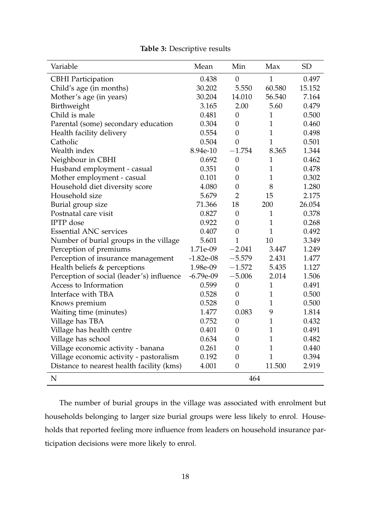| Variable                                  | Mean        | Min              | Max            | <b>SD</b> |
|-------------------------------------------|-------------|------------------|----------------|-----------|
| <b>CBHI</b> Participation                 | 0.438       | $\overline{0}$   | $\overline{1}$ | 0.497     |
| Child's age (in months)                   | 30.202      | 5.550            | 60.580         | 15.152    |
| Mother's age (in years)                   | 30.204      | 14.010           | 56.540         | 7.164     |
| Birthweight                               | 3.165       | 2.00             | 5.60           | 0.479     |
| Child is male                             | 0.481       | $\boldsymbol{0}$ | $\mathbf{1}$   | 0.500     |
| Parental (some) secondary education       | 0.304       | $\overline{0}$   | $\mathbf{1}$   | 0.460     |
| Health facility delivery                  | 0.554       | $\overline{0}$   | $\mathbf{1}$   | 0.498     |
| Catholic                                  | 0.504       | $\overline{0}$   | $\mathbf{1}$   | 0.501     |
| Wealth index                              | 8.94e-10    | $-1.754$         | 8.365          | 1.344     |
| Neighbour in CBHI                         | 0.692       | $\theta$         | 1              | 0.462     |
| Husband employment - casual               | 0.351       | $\overline{0}$   | $\mathbf{1}$   | 0.478     |
| Mother employment - casual                | 0.101       | $\theta$         | $\mathbf{1}$   | 0.302     |
| Household diet diversity score            | 4.080       | $\overline{0}$   | 8              | 1.280     |
| Household size                            | 5.679       | $\overline{2}$   | 15             | 2.175     |
| Burial group size                         | 71.366      | 18               | 200            | 26.054    |
| Postnatal care visit                      | 0.827       | $\overline{0}$   | $\mathbf{1}$   | 0.378     |
| <b>IPTP</b> dose                          | 0.922       | $\overline{0}$   | $\mathbf{1}$   | 0.268     |
| <b>Essential ANC services</b>             | 0.407       | $\boldsymbol{0}$ | $\mathbf{1}$   | 0.492     |
| Number of burial groups in the village    | 5.601       | $\mathbf{1}$     | 10             | 3.349     |
| Perception of premiums                    | 1.71e-09    | $-2.041$         | 3.447          | 1.249     |
| Perception of insurance management        | $-1.82e-08$ | $-5.579$         | 2.431          | 1.477     |
| Health beliefs & perceptions              | 1.98e-09    | $-1.572$         | 5.435          | 1.127     |
| Perception of social (leader's) influence | $-6.79e-09$ | $-5.006$         | 2.014          | 1.506     |
| Access to Information                     | 0.599       | $\overline{0}$   | $\mathbf{1}$   | 0.491     |
| Interface with TBA                        | 0.528       | $\overline{0}$   | $\mathbf{1}$   | 0.500     |
| Knows premium                             | 0.528       | $\overline{0}$   | $\mathbf{1}$   | 0.500     |
| Waiting time (minutes)                    | 1.477       | 0.083            | 9              | 1.814     |
| Village has TBA                           | 0.752       | $\overline{0}$   | $\mathbf{1}$   | 0.432     |
| Village has health centre                 | 0.401       | $\overline{0}$   | $\mathbf{1}$   | 0.491     |
| Village has school                        | 0.634       | $\theta$         | $\mathbf{1}$   | 0.482     |
| Village economic activity - banana        | 0.261       | $\overline{0}$   | $\mathbf{1}$   | 0.440     |
| Village economic activity - pastoralism   | 0.192       | $\overline{0}$   | $\mathbf{1}$   | 0.394     |
| Distance to nearest health facility (kms) | 4.001       | $\overline{0}$   | 11.500         | 2.919     |
| N                                         |             | 464              |                |           |

**Table 3:** Descriptive results

The number of burial groups in the village was associated with enrolment but households belonging to larger size burial groups were less likely to enrol. Households that reported feeling more influence from leaders on household insurance participation decisions were more likely to enrol.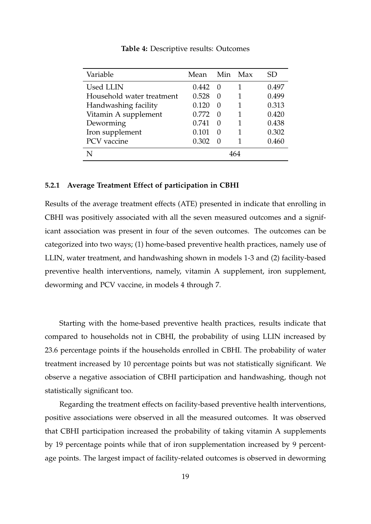| Variable                  | Mean  | Min              | Max | SD    |
|---------------------------|-------|------------------|-----|-------|
| <b>Used LLIN</b>          | 0.442 | $\left( \right)$ |     | 0.497 |
| Household water treatment | 0.528 | $\Omega$         |     | 0.499 |
| Handwashing facility      | 0.120 | $\left( \right)$ |     | 0.313 |
| Vitamin A supplement      | 0.772 | $\left( \right)$ | 1   | 0.420 |
| Deworming                 | 0.741 | $\Omega$         | 1   | 0.438 |
| Iron supplement           | 0.101 | $\Omega$         |     | 0.302 |
| PCV vaccine               | 0.302 | $\Omega$         |     | 0.460 |
|                           |       |                  | 464 |       |

**Table 4:** Descriptive results: Outcomes

#### **5.2.1 Average Treatment Effect of participation in CBHI**

Results of the average treatment effects (ATE) presented in indicate that enrolling in CBHI was positively associated with all the seven measured outcomes and a significant association was present in four of the seven outcomes. The outcomes can be categorized into two ways; (1) home-based preventive health practices, namely use of LLIN, water treatment, and handwashing shown in models 1-3 and (2) facility-based preventive health interventions, namely, vitamin A supplement, iron supplement, deworming and PCV vaccine, in models 4 through 7.

Starting with the home-based preventive health practices, results indicate that compared to households not in CBHI, the probability of using LLIN increased by 23.6 percentage points if the households enrolled in CBHI. The probability of water treatment increased by 10 percentage points but was not statistically significant. We observe a negative association of CBHI participation and handwashing, though not statistically significant too.

Regarding the treatment effects on facility-based preventive health interventions, positive associations were observed in all the measured outcomes. It was observed that CBHI participation increased the probability of taking vitamin A supplements by 19 percentage points while that of iron supplementation increased by 9 percentage points. The largest impact of facility-related outcomes is observed in deworming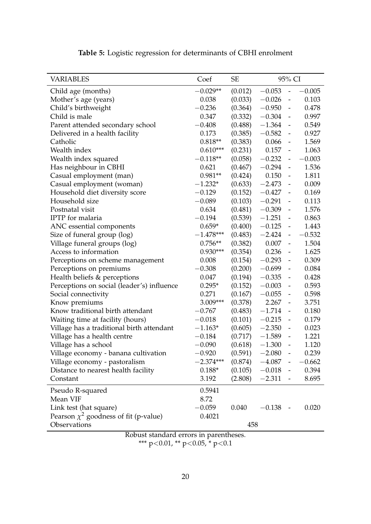| <b>VARIABLES</b>                           | Coef        | <b>SE</b> |          | 95% CI                       |          |
|--------------------------------------------|-------------|-----------|----------|------------------------------|----------|
| Child age (months)                         | $-0.029**$  | (0.012)   | $-0.053$ | $\qquad \qquad \blacksquare$ | $-0.005$ |
| Mother's age (years)                       | 0.038       | (0.033)   | $-0.026$ | $\qquad \qquad \blacksquare$ | 0.103    |
| Child's birthweight                        | $-0.236$    | (0.364)   | $-0.950$ | $\qquad \qquad \blacksquare$ | 0.478    |
| Child is male                              | 0.347       | (0.332)   | $-0.304$ | $\qquad \qquad \blacksquare$ | 0.997    |
| Parent attended secondary school           | $-0.408$    | (0.488)   | $-1.364$ | $\qquad \qquad \blacksquare$ | 0.549    |
| Delivered in a health facility             | 0.173       | (0.385)   | $-0.582$ | $\overline{\phantom{a}}$     | 0.927    |
| Catholic                                   | $0.818**$   | (0.383)   | 0.066    | $\overline{\phantom{a}}$     | 1.569    |
| Wealth index                               | $0.610***$  | (0.231)   | 0.157    | $\overline{\phantom{a}}$     | 1.063    |
| Wealth index squared                       | $-0.118**$  | (0.058)   | $-0.232$ | $\overline{\phantom{a}}$     | $-0.003$ |
| Has neighbour in CBHI                      | 0.621       | (0.467)   | $-0.294$ | $\qquad \qquad -$            | 1.536    |
| Casual employment (man)                    | $0.981**$   | (0.424)   | 0.150    | $\overline{\phantom{a}}$     | 1.811    |
| Casual employment (woman)                  | $-1.232*$   | (0.633)   | $-2.473$ | $\qquad \qquad -$            | 0.009    |
| Household diet diversity score             | $-0.129$    | (0.152)   | $-0.427$ | $\overline{\phantom{a}}$     | 0.169    |
| Household size                             | $-0.089$    | (0.103)   | $-0.291$ | $\qquad \qquad \blacksquare$ | 0.113    |
| Postnatal visit                            | 0.634       | (0.481)   | $-0.309$ | $\overline{\phantom{a}}$     | 1.576    |
| IPTP for malaria                           | $-0.194$    | (0.539)   | $-1.251$ | $\qquad \qquad -$            | 0.863    |
| ANC essential components                   | $0.659*$    | (0.400)   | $-0.125$ | $\overline{\phantom{a}}$     | 1.443    |
| Size of funeral group (log)                | $-1.478***$ | (0.483)   | $-2.424$ | $\overline{\phantom{0}}$     | $-0.532$ |
| Village funeral groups (log)               | $0.756**$   | (0.382)   | 0.007    | $\overline{\phantom{a}}$     | 1.504    |
| Access to information                      | $0.930***$  | (0.354)   | 0.236    | $\blacksquare$               | 1.625    |
| Perceptions on scheme management           | 0.008       | (0.154)   | $-0.293$ | $\qquad \qquad \blacksquare$ | 0.309    |
| Perceptions on premiums                    | $-0.308$    | (0.200)   | $-0.699$ | $\qquad \qquad \blacksquare$ | 0.084    |
| Health beliefs & perceptions               | 0.047       | (0.194)   | $-0.335$ | $\overline{\phantom{a}}$     | 0.428    |
| Perceptions on social (leader's) influence | $0.295*$    | (0.152)   | $-0.003$ | $\qquad \qquad \blacksquare$ | 0.593    |
| Social connectivity                        | 0.271       | (0.167)   | $-0.055$ | $\qquad \qquad \blacksquare$ | 0.598    |
| Know premiums                              | 3.009***    | (0.378)   | 2.267    | $\overline{\phantom{a}}$     | 3.751    |
| Know traditional birth attendant           | $-0.767$    | (0.483)   | $-1.714$ | $\qquad \qquad -$            | 0.180    |
| Waiting time at facility (hours)           | $-0.018$    | (0.101)   | $-0.215$ | $\overline{\phantom{a}}$     | 0.179    |
| Village has a traditional birth attendant  | $-1.163*$   | (0.605)   | $-2.350$ | $\overline{\phantom{a}}$     | 0.023    |
| Village has a health centre                | $-0.184$    | (0.717)   | $-1.589$ | $\overline{\phantom{a}}$     | 1.221    |
| Village has a school                       | $-0.090$    | (0.618)   | $-1.300$ | $\qquad \qquad \blacksquare$ | 1.120    |
| Village economy - banana cultivation       | $-0.920$    | (0.591)   | $-2.080$ |                              | 0.239    |
| Village economy - pastoralism              | $-2.374***$ | (0.874)   | $-4.087$ |                              | $-0.662$ |
| Distance to nearest health facility        | $0.188*$    | (0.105)   | $-0.018$ | $\overline{\phantom{a}}$     | 0.394    |
| Constant                                   | 3.192       | (2.808)   | $-2.311$ |                              | 8.695    |
| Pseudo R-squared                           | 0.5941      |           |          |                              |          |
| Mean VIF                                   | 8.72        |           |          |                              |          |
| Link test (hat square)                     | $-0.059$    | 0.040     | $-0.138$ |                              | 0.020    |
| Pearson $\chi^2$ goodness of fit (p-value) | 0.4021      |           |          |                              |          |
| Observations                               |             | 458       |          |                              |          |
| $D - 1 - \cdots$                           |             |           |          |                              |          |

**Table 5:** Logistic regression for determinants of CBHI enrolment

Robust standard errors in parentheses. \*\*\* p<0.01, \*\* p<0.05, \* p<0.1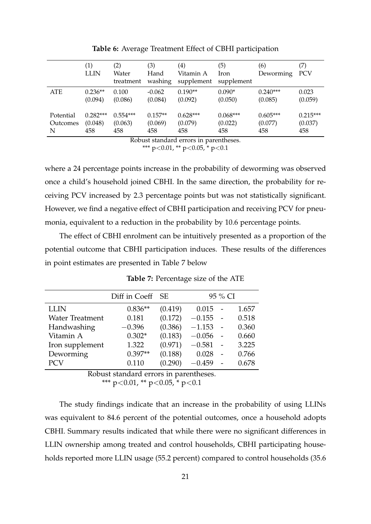|                            | (1)<br><b>LLIN</b>           | (2)<br>Water<br>treatment    | (3)<br>Hand<br>washing      | $\left( 4\right)$<br>Vitamin A<br>supplement | (5)<br>Iron<br>supplement    | (6)<br>Deworming             | (7)<br><b>PCV</b>            |
|----------------------------|------------------------------|------------------------------|-----------------------------|----------------------------------------------|------------------------------|------------------------------|------------------------------|
| ATE                        | $0.236**$<br>(0.094)         | 0.100<br>(0.086)             | $-0.062$<br>(0.084)         | $0.190**$<br>(0.092)                         | $0.090*$<br>(0.050)          | $0.240***$<br>(0.085)        | 0.023<br>(0.059)             |
| Potential<br>Outcomes<br>N | $0.282***$<br>(0.048)<br>458 | $0.554***$<br>(0.063)<br>458 | $0.157**$<br>(0.069)<br>458 | $0.628***$<br>(0.079)<br>458                 | $0.068***$<br>(0.022)<br>458 | $0.605***$<br>(0.077)<br>458 | $0.215***$<br>(0.037)<br>458 |
|                            |                              |                              |                             | Dobust standard swew in naventhoses          |                              |                              |                              |

**Table 6:** Average Treatment Effect of CBHI participation

Robust standard errors in parentheses. \*\*\* p<0.01, \*\* p<0.05, \* p<0.1

where a 24 percentage points increase in the probability of deworming was observed once a child's household joined CBHI. In the same direction, the probability for receiving PCV increased by 2.3 percentage points but was not statistically significant. However, we find a negative effect of CBHI participation and receiving PCV for pneumonia, equivalent to a reduction in the probability by 10.6 percentage points.

The effect of CBHI enrolment can be intuitively presented as a proportion of the potential outcome that CBHI participation induces. These results of the differences in point estimates are presented in Table 7 below

|                        | Diff in Coeff SE |         |          | 95 % CI |       |
|------------------------|------------------|---------|----------|---------|-------|
| <b>LLIN</b>            | $0.836**$        | (0.419) | 0.015    |         | 1.657 |
| <b>Water Treatment</b> | 0.181            | (0.172) | $-0.155$ |         | 0.518 |
| Handwashing            | $-0.396$         | (0.386) | $-1.153$ |         | 0.360 |
| Vitamin A              | $0.302*$         | (0.183) | $-0.056$ |         | 0.660 |
| Iron supplement        | 1.322            | (0.971) | $-0.581$ |         | 3.225 |
| Deworming              | $0.397**$        | (0.188) | 0.028    |         | 0.766 |
| <b>PCV</b>             | 0.110            | (0.290) | $-0.459$ |         | 0.678 |

**Table 7:** Percentage size of the ATE

Robust standard errors in parentheses.

\*\*\*  $p<0.01$ , \*\*  $p<0.05$ , \*  $p<0.1$ 

The study findings indicate that an increase in the probability of using LLINs was equivalent to 84.6 percent of the potential outcomes, once a household adopts CBHI. Summary results indicated that while there were no significant differences in LLIN ownership among treated and control households, CBHI participating households reported more LLIN usage (55.2 percent) compared to control households (35.6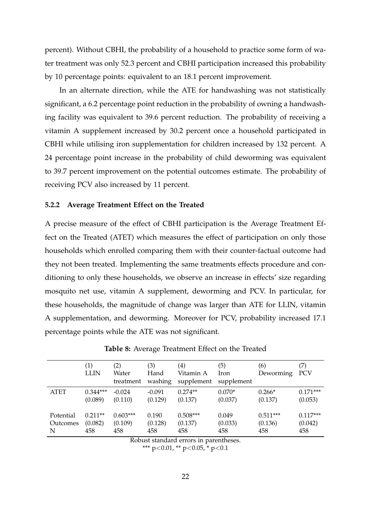percent). Without CBHI, the probability of a household to practice some form of water treatment was only 52.3 percent and CBHI participation increased this probability by 10 percentage points: equivalent to an 18.1 percent improvement.

In an alternate direction, while the ATE for handwashing was not statistically significant, a 6.2 percentage point reduction in the probability of owning a handwashing facility was equivalent to 39.6 percent reduction. The probability of receiving a vitamin A supplement increased by 30.2 percent once a household participated in CBHI while utilising iron supplementation for children increased by 132 percent. A 24 percentage point increase in the probability of child deworming was equivalent to 39.7 percent improvement on the potential outcomes estimate. The probability of receiving PCV also increased by 11 percent.

#### **5.2.2 Average Treatment Effect on the Treated**

A precise measure of the effect of CBHI participation is the Average Treatment Effect on the Treated (ATET) which measures the effect of participation on only those households which enrolled comparing them with their counter-factual outcome had they not been treated. Implementing the same treatments effects procedure and conditioning to only these households, we observe an increase in effects' size regarding mosquito net use, vitamin A supplement, deworming and PCV. In particular, for these households, the magnitude of change was larger than ATE for LLIN, vitamin A supplementation, and deworming. Moreover for PCV, probability increased 17.1 percentage points while the ATE was not significant.

|             | (1)<br><b>LLIN</b> | (2)<br>Water<br>treatment | (3)<br>Hand<br>washing | $\left( 4\right)$<br>Vitamin A<br>supplement | (5)<br>Iron<br>supplement | (6)<br>Deworming | (7)<br>PCV |
|-------------|--------------------|---------------------------|------------------------|----------------------------------------------|---------------------------|------------------|------------|
| <b>ATET</b> | $0.344***$         | $-0.024$                  | $-0.091$               | $0.274**$                                    | $0.070*$                  | $0.266*$         | $0.171***$ |
|             | (0.089)            | (0.110)                   | (0.129)                | (0.137)                                      | (0.037)                   | (0.137)          | (0.053)    |
| Potential   | $0.211**$          | $0.603***$                | 0.190                  | $0.508***$                                   | 0.049                     | $0.511***$       | $0.117***$ |
| Outcomes    | (0.082)            | (0.109)                   | (0.128)                | (0.137)                                      | (0.033)                   | (0.136)          | (0.042)    |
| N           | 458                | 458                       | 458                    | 458                                          | 458                       | 458              | 458        |

**Table 8:** Average Treatment Effect on the Treated

Robust standard errors in parentheses.

\*\*\*  $p<0.01$ , \*\*  $p<0.05$ , \*  $p<0.1$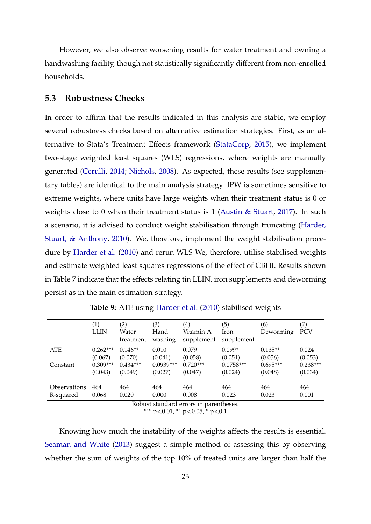However, we also observe worsening results for water treatment and owning a handwashing facility, though not statistically significantly different from non-enrolled households.

#### **5.3 Robustness Checks**

In order to affirm that the results indicated in this analysis are stable, we employ several robustness checks based on alternative estimation strategies. First, as an alternative to Stata's Treatment Effects framework [\(StataCorp,](#page-39-12) [2015\)](#page-39-12), we implement two-stage weighted least squares (WLS) regressions, where weights are manually generated [\(Cerulli,](#page-34-12) [2014;](#page-34-12) [Nichols,](#page-38-14) [2008\)](#page-38-14). As expected, these results (see supplementary tables) are identical to the main analysis strategy. IPW is sometimes sensitive to extreme weights, where units have large weights when their treatment status is 0 or weights close to 0 when their treatment status is 1 [\(Austin & Stuart,](#page-33-10) [2017\)](#page-33-10). In such a scenario, it is advised to conduct weight stabilisation through truncating [\(Harder,](#page-36-10) [Stuart, & Anthony,](#page-36-10) [2010\)](#page-36-10). We, therefore, implement the weight stabilisation procedure by [Harder et al.](#page-36-10) [\(2010\)](#page-36-10) and rerun WLS We, therefore, utilise stabilised weights and estimate weighted least squares regressions of the effect of CBHI. Results shown in Table 7 indicate that the effects relating tin LLIN, iron supplements and deworming persist as in the main estimation strategy.

|                     | (1)<br><b>LLIN</b> | (2)<br>Water<br>treatment | (3)<br>Hand<br>washing | (4)<br>Vitamin A<br>supplement        | (5)<br>Iron<br>supplement | (6)<br>Deworming | (7)<br><b>PCV</b> |
|---------------------|--------------------|---------------------------|------------------------|---------------------------------------|---------------------------|------------------|-------------------|
| <b>ATE</b>          | $0.262***$         | $0.146**$                 | 0.010                  | 0.079                                 | $0.099*$                  | $0.135**$        | 0.024             |
|                     | (0.067)            | (0.070)                   | (0.041)                | (0.058)                               | (0.051)                   | (0.056)          | (0.053)           |
| Constant            | $0.309***$         | $0.434***$                | $0.0939***$            | $0.720***$                            | $0.0758***$               | $0.695***$       | $0.238***$        |
|                     | (0.043)            | (0.049)                   | (0.027)                | (0.047)                               | (0.024)                   | (0.048)          | (0.034)           |
| <b>Observations</b> | 464                | 464                       | 464                    | 464                                   | 464                       | 464              | 464               |
| R-squared           | 0.068              | 0.020                     | 0.000                  | 0.008                                 | 0.023                     | 0.023            | 0.001             |
|                     |                    |                           |                        | Robuet etandard orrore in paronthoeoe |                           |                  |                   |

**Table 9:** ATE using [Harder et al.](#page-36-10) [\(2010\)](#page-36-10) stabilised weights

Robust standard errors in parentheses. \*\*\* p<0.01, \*\* p<0.05, \* p<0.1

Knowing how much the instability of the weights affects the results is essential. [Seaman and White](#page-39-13) [\(2013\)](#page-39-13) suggest a simple method of assessing this by observing whether the sum of weights of the top 10% of treated units are larger than half the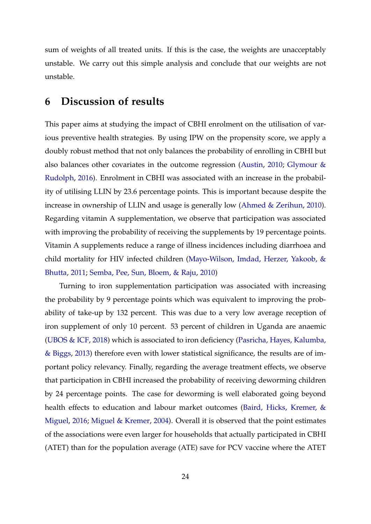sum of weights of all treated units. If this is the case, the weights are unacceptably unstable. We carry out this simple analysis and conclude that our weights are not unstable.

## **6 Discussion of results**

This paper aims at studying the impact of CBHI enrolment on the utilisation of various preventive health strategies. By using IPW on the propensity score, we apply a doubly robust method that not only balances the probability of enrolling in CBHI but also balances other covariates in the outcome regression [\(Austin,](#page-33-9) [2010;](#page-33-9) [Glymour &](#page-35-16) [Rudolph,](#page-35-16) [2016\)](#page-35-16). Enrolment in CBHI was associated with an increase in the probability of utilising LLIN by 23.6 percentage points. This is important because despite the increase in ownership of LLIN and usage is generally low [\(Ahmed & Zerihun,](#page-33-3) [2010\)](#page-33-3). Regarding vitamin A supplementation, we observe that participation was associated with improving the probability of receiving the supplements by 19 percentage points. Vitamin A supplements reduce a range of illness incidences including diarrhoea and child mortality for HIV infected children [\(Mayo-Wilson, Imdad, Herzer, Yakoob, &](#page-37-11) [Bhutta,](#page-37-11) [2011;](#page-37-11) [Semba, Pee, Sun, Bloem, & Raju,](#page-39-14) [2010\)](#page-39-14)

Turning to iron supplementation participation was associated with increasing the probability by 9 percentage points which was equivalent to improving the probability of take-up by 132 percent. This was due to a very low average reception of iron supplement of only 10 percent. 53 percent of children in Uganda are anaemic [\(UBOS & ICF,](#page-39-4) [2018\)](#page-39-4) which is associated to iron deficiency [\(Pasricha, Hayes, Kalumba,](#page-38-15) [& Biggs,](#page-38-15) [2013\)](#page-38-15) therefore even with lower statistical significance, the results are of important policy relevancy. Finally, regarding the average treatment effects, we observe that participation in CBHI increased the probability of receiving deworming children by 24 percentage points. The case for deworming is well elaborated going beyond health effects to education and labour market outcomes [\(Baird, Hicks, Kremer, &](#page-33-11) [Miguel,](#page-33-11) [2016;](#page-33-11) [Miguel & Kremer,](#page-38-16) [2004\)](#page-38-16). Overall it is observed that the point estimates of the associations were even larger for households that actually participated in CBHI (ATET) than for the population average (ATE) save for PCV vaccine where the ATET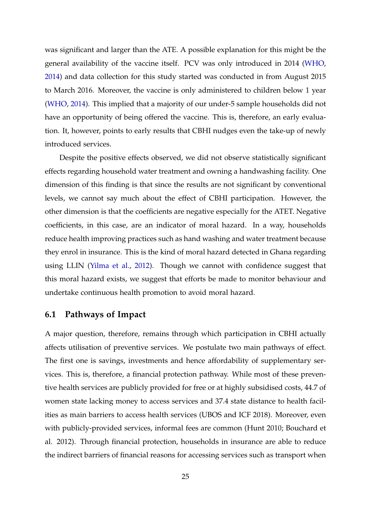was significant and larger than the ATE. A possible explanation for this might be the general availability of the vaccine itself. PCV was only introduced in 2014 [\(WHO,](#page-40-13) [2014\)](#page-40-13) and data collection for this study started was conducted in from August 2015 to March 2016. Moreover, the vaccine is only administered to children below 1 year [\(WHO,](#page-40-13) [2014\)](#page-40-13). This implied that a majority of our under-5 sample households did not have an opportunity of being offered the vaccine. This is, therefore, an early evaluation. It, however, points to early results that CBHI nudges even the take-up of newly introduced services.

Despite the positive effects observed, we did not observe statistically significant effects regarding household water treatment and owning a handwashing facility. One dimension of this finding is that since the results are not significant by conventional levels, we cannot say much about the effect of CBHI participation. However, the other dimension is that the coefficients are negative especially for the ATET. Negative coefficients, in this case, are an indicator of moral hazard. In a way, households reduce health improving practices such as hand washing and water treatment because they enrol in insurance. This is the kind of moral hazard detected in Ghana regarding using LLIN [\(Yilma et al.,](#page-40-8) [2012\)](#page-40-8). Though we cannot with confidence suggest that this moral hazard exists, we suggest that efforts be made to monitor behaviour and undertake continuous health promotion to avoid moral hazard.

## **6.1 Pathways of Impact**

A major question, therefore, remains through which participation in CBHI actually affects utilisation of preventive services. We postulate two main pathways of effect. The first one is savings, investments and hence affordability of supplementary services. This is, therefore, a financial protection pathway. While most of these preventive health services are publicly provided for free or at highly subsidised costs, 44.7 of women state lacking money to access services and 37.4 state distance to health facilities as main barriers to access health services (UBOS and ICF 2018). Moreover, even with publicly-provided services, informal fees are common (Hunt 2010; Bouchard et al. 2012). Through financial protection, households in insurance are able to reduce the indirect barriers of financial reasons for accessing services such as transport when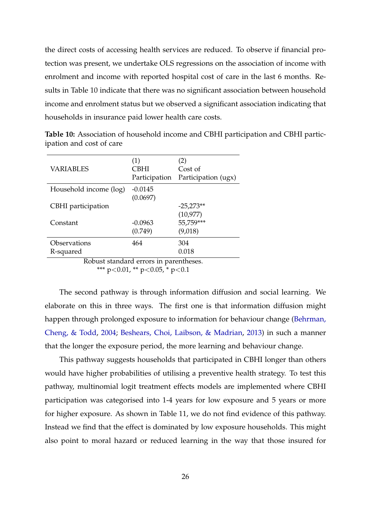the direct costs of accessing health services are reduced. To observe if financial protection was present, we undertake OLS regressions on the association of income with enrolment and income with reported hospital cost of care in the last 6 months. Results in Table 10 indicate that there was no significant association between household income and enrolment status but we observed a significant association indicating that households in insurance paid lower health care costs.

| VARIABLES                 | (1)<br>CBHI<br>Participation | (2)<br>Cost of<br>Participation (ugx) |
|---------------------------|------------------------------|---------------------------------------|
| Household income (log)    | $-0.0145$                    |                                       |
|                           | (0.0697)                     |                                       |
| CBHI participation        |                              | $-25,273**$                           |
|                           |                              | (10, 977)                             |
| Constant                  | $-0.0963$                    | 55,759***                             |
|                           | (0.749)                      | (9,018)                               |
| Observations              | 464                          | 304                                   |
| R-squared                 |                              | 0.018                                 |
| $\mathbf{D}$ 1<br>п.<br>. | ٠<br>$\mathbf{I}$            | $\cdot$ 1                             |

**Table 10:** Association of household income and CBHI participation and CBHI participation and cost of care

Robust standard errors in parentheses.

\*\*\* p<0.01, \*\* p<0.05, \* p<0.1

The second pathway is through information diffusion and social learning. We elaborate on this in three ways. The first one is that information diffusion might happen through prolonged exposure to information for behaviour change [\(Behrman,](#page-33-12) [Cheng, & Todd,](#page-33-12) [2004;](#page-33-12) [Beshears, Choi, Laibson, & Madrian,](#page-33-13) [2013\)](#page-33-13) in such a manner that the longer the exposure period, the more learning and behaviour change.

This pathway suggests households that participated in CBHI longer than others would have higher probabilities of utilising a preventive health strategy. To test this pathway, multinomial logit treatment effects models are implemented where CBHI participation was categorised into 1-4 years for low exposure and 5 years or more for higher exposure. As shown in Table 11, we do not find evidence of this pathway. Instead we find that the effect is dominated by low exposure households. This might also point to moral hazard or reduced learning in the way that those insured for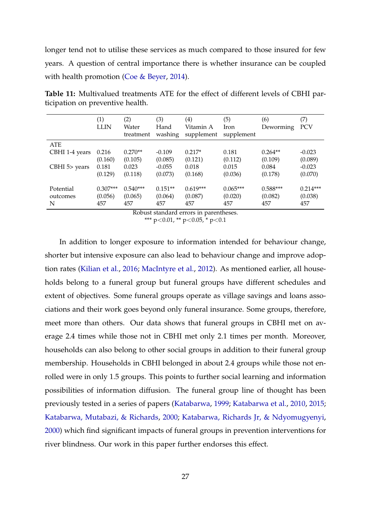longer tend not to utilise these services as much compared to those insured for few years. A question of central importance there is whether insurance can be coupled with health promotion [\(Coe & Beyer,](#page-34-13) [2014\)](#page-34-13).

|                 | (1)<br><b>LLIN</b> | (2)<br>Water<br>treatment | (3)<br>Hand<br>washing | (4)<br>Vitamin A<br>supplement | (5)<br>Iron<br>supplement | (6)<br>Deworming | (7)<br><b>PCV</b> |
|-----------------|--------------------|---------------------------|------------------------|--------------------------------|---------------------------|------------------|-------------------|
| <b>ATE</b>      |                    |                           |                        |                                |                           |                  |                   |
| CBHI 1-4 years  | 0.216              | $0.270**$                 | $-0.109$               | $0.217*$                       | 0.181                     | $0.264**$        | $-0.023$          |
|                 | (0.160)            | (0.105)                   | (0.085)                | (0.121)                        | (0.112)                   | (0.109)          | (0.089)           |
| $CBHI$ 5> years | 0.181              | 0.023                     | $-0.055$               | 0.018                          | 0.015                     | 0.084            | $-0.023$          |
|                 | (0.129)            | (0.118)                   | (0.073)                | (0.168)                        | (0.036)                   | (0.178)          | (0.070)           |
|                 |                    |                           |                        |                                |                           |                  |                   |
| Potential       | $0.307***$         | $0.540***$                | $0.151**$              | $0.619***$                     | $0.065***$                | $0.588***$       | $0.214***$        |
| outcomes        | (0.056)            | (0.065)                   | (0.064)                | (0.087)                        | (0.020)                   | (0.082)          | (0.038)           |
| N               | 457                | 457                       | 457                    | 457                            | 457                       | 457              | 457               |

**Table 11:** Multivalued treatments ATE for the effect of different levels of CBHI participation on preventive health.

Robust standard errors in parentheses.

\*\*\*  $p<0.01$ , \*\*  $p<0.05$ , \*  $p<0.1$ 

In addition to longer exposure to information intended for behaviour change, shorter but intensive exposure can also lead to behaviour change and improve adoption rates [\(Kilian et al.,](#page-37-12) [2016;](#page-37-12) [MacIntyre et al.,](#page-37-13) [2012\)](#page-37-13). As mentioned earlier, all households belong to a funeral group but funeral groups have different schedules and extent of objectives. Some funeral groups operate as village savings and loans associations and their work goes beyond only funeral insurance. Some groups, therefore, meet more than others. Our data shows that funeral groups in CBHI met on average 2.4 times while those not in CBHI met only 2.1 times per month. Moreover, households can also belong to other social groups in addition to their funeral group membership. Households in CBHI belonged in about 2.4 groups while those not enrolled were in only 1.5 groups. This points to further social learning and information possibilities of information diffusion. The funeral group line of thought has been previously tested in a series of papers [\(Katabarwa,](#page-36-11) [1999;](#page-36-11) [Katabarwa et al.,](#page-36-5) [2010,](#page-36-5) [2015;](#page-36-12) [Katabarwa, Mutabazi, & Richards,](#page-36-6) [2000;](#page-36-6) [Katabarwa, Richards Jr, & Ndyomugyenyi,](#page-37-14) [2000\)](#page-37-14) which find significant impacts of funeral groups in prevention interventions for river blindness. Our work in this paper further endorses this effect.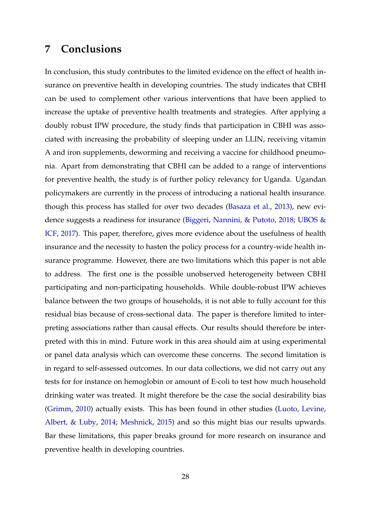# **7 Conclusions**

In conclusion, this study contributes to the limited evidence on the effect of health insurance on preventive health in developing countries. The study indicates that CBHI can be used to complement other various interventions that have been applied to increase the uptake of preventive health treatments and strategies. After applying a doubly robust IPW procedure, the study finds that participation in CBHI was associated with increasing the probability of sleeping under an LLIN, receiving vitamin A and iron supplements, deworming and receiving a vaccine for childhood pneumonia. Apart from demonstrating that CBHI can be added to a range of interventions for preventive health, the study is of further policy relevancy for Uganda. Ugandan policymakers are currently in the process of introducing a national health insurance. though this process has stalled for over two decades [\(Basaza et al.,](#page-33-0) [2013\)](#page-33-0), new evidence suggests a readiness for insurance [\(Biggeri, Nannini, & Putoto,](#page-34-14) [2018;](#page-34-14) [UBOS &](#page-39-15) [ICF,](#page-39-15) [2017\)](#page-39-15). This paper, therefore, gives more evidence about the usefulness of health insurance and the necessity to hasten the policy process for a country-wide health insurance programme. However, there are two limitations which this paper is not able to address. The first one is the possible unobserved heterogeneity between CBHI participating and non-participating households. While double-robust IPW achieves balance between the two groups of households, it is not able to fully account for this residual bias because of cross-sectional data. The paper is therefore limited to interpreting associations rather than causal effects. Our results should therefore be interpreted with this in mind. Future work in this area should aim at using experimental or panel data analysis which can overcome these concerns. The second limitation is in regard to self-assessed outcomes. In our data collections, we did not carry out any tests for for instance on hemoglobin or amount of E-coli to test how much household drinking water was treated. It might therefore be the case the social desirability bias [\(Grimm,](#page-35-17) [2010\)](#page-35-17) actually exists. This has been found in other studies [\(Luoto, Levine,](#page-37-15) [Albert, & Luby,](#page-37-15) [2014;](#page-37-15) [Meshnick,](#page-37-16) [2015\)](#page-37-16) and so this might bias our results upwards. Bar these limitations, this paper breaks ground for more research on insurance and preventive health in developing countries.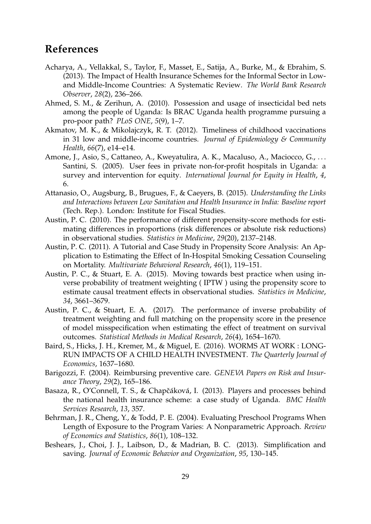# **References**

- <span id="page-33-5"></span>Acharya, A., Vellakkal, S., Taylor, F., Masset, E., Satija, A., Burke, M., & Ebrahim, S. (2013). The Impact of Health Insurance Schemes for the Informal Sector in Lowand Middle-Income Countries: A Systematic Review. *The World Bank Research Observer*, *28*(2), 236–266.
- <span id="page-33-3"></span>Ahmed, S. M., & Zerihun, A. (2010). Possession and usage of insecticidal bed nets among the people of Uganda: Is BRAC Uganda health programme pursuing a pro-poor path? *PLoS ONE*, *5*(9), 1–7.
- <span id="page-33-1"></span>Akmatov, M. K., & Mikolajczyk, R. T. (2012). Timeliness of childhood vaccinations in 31 low and middle-income countries. *Journal of Epidemiology & Community Health*, *66*(7), e14–e14.
- <span id="page-33-2"></span>Amone, J., Asio, S., Cattaneo, A., Kweyatulira, A. K., Macaluso, A., Maciocco, G., ... Santini, S. (2005). User fees in private non-for-profit hospitals in Uganda: a survey and intervention for equity. *International Journal for Equity in Health*, *4*, 6.
- <span id="page-33-4"></span>Attanasio, O., Augsburg, B., Brugues, F., & Caeyers, B. (2015). *Understanding the Links and Interactions between Low Sanitation and Health Insurance in India: Baseline report* (Tech. Rep.). London: Institute for Fiscal Studies.
- <span id="page-33-9"></span>Austin, P. C. (2010). The performance of different propensity-score methods for estimating differences in proportions (risk differences or absolute risk reductions) in observational studies. *Statistics in Medicine*, *29*(20), 2137–2148.
- <span id="page-33-7"></span>Austin, P. C. (2011). A Tutorial and Case Study in Propensity Score Analysis: An Application to Estimating the Effect of In-Hospital Smoking Cessation Counseling on Mortality. *Multivariate Behavioral Research*, *46*(1), 119–151.
- <span id="page-33-8"></span>Austin, P. C., & Stuart, E. A. (2015). Moving towards best practice when using inverse probability of treatment weighting ( IPTW ) using the propensity score to estimate causal treatment effects in observational studies. *Statistics in Medicine*, *34*, 3661–3679.
- <span id="page-33-10"></span>Austin, P. C., & Stuart, E. A. (2017). The performance of inverse probability of treatment weighting and full matching on the propensity score in the presence of model misspecification when estimating the effect of treatment on survival outcomes. *Statistical Methods in Medical Research*, *26*(4), 1654–1670.
- <span id="page-33-11"></span>Baird, S., Hicks, J. H., Kremer, M., & Miguel, E. (2016). WORMS AT WORK : LONG-RUN IMPACTS OF A CHILD HEALTH INVESTMENT. *The Quarterly Journal of Economics*, 1637–1680.
- <span id="page-33-6"></span>Barigozzi, F. (2004). Reimbursing preventive care. *GENEVA Papers on Risk and Insurance Theory*, *29*(2), 165–186.
- <span id="page-33-0"></span>Basaza, R., O'Connell, T. S., & Chapčáková, I. (2013). Players and processes behind the national health insurance scheme: a case study of Uganda. *BMC Health Services Research*, *13*, 357.
- <span id="page-33-12"></span>Behrman, J. R., Cheng, Y., & Todd, P. E. (2004). Evaluating Preschool Programs When Length of Exposure to the Program Varies: A Nonparametric Approach. *Review of Economics and Statistics*, *86*(1), 108–132.
- <span id="page-33-13"></span>Beshears, J., Choi, J. J., Laibson, D., & Madrian, B. C. (2013). Simplification and saving. *Journal of Economic Behavior and Organization*, *95*, 130–145.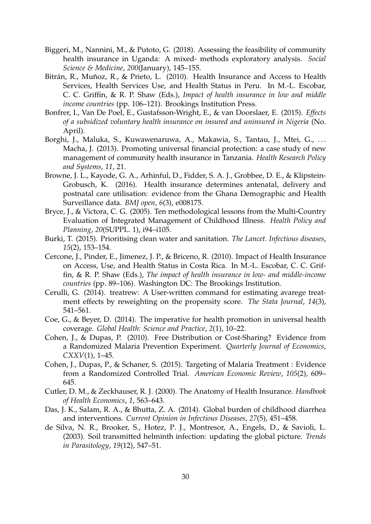- <span id="page-34-14"></span>Biggeri, M., Nannini, M., & Putoto, G. (2018). Assessing the feasibility of community health insurance in Uganda: A mixed- methods exploratory analysis. *Social Science & Medicine*, *200*(January), 145–155.
- <span id="page-34-8"></span>Bitrán, R., Muñoz, R., & Prieto, L. (2010). Health Insurance and Access to Health Services, Health Services Use, and Health Status in Peru. In M.-L. Escobar, C. C. Griffin, & R. P. Shaw (Eds.), *Impact of health insurance in low and middle income countries* (pp. 106–121). Brookings Institution Press.
- <span id="page-34-11"></span>Bonfrer, I., Van De Poel, E., Gustafsson-Wright, E., & van Doorslaer, E. (2015). *Effects of a subsidized voluntary health insurance on insured and uninsured in Nigeria* (No. April).
- <span id="page-34-0"></span>Borghi, J., Maluka, S., Kuwawenaruwa, A., Makawia, S., Tantau, J., Mtei, G., ... Macha, J. (2013). Promoting universal financial protection: a case study of new management of community health insurance in Tanzania. *Health Research Policy and Systems*, *11*, 21.
- <span id="page-34-1"></span>Browne, J. L., Kayode, G. A., Arhinful, D., Fidder, S. A. J., Grobbee, D. E., & Klipstein-Grobusch, K. (2016). Health insurance determines antenatal, delivery and postnatal care utilisation: evidence from the Ghana Demographic and Health Surveillance data. *BMJ open*, *6*(3), e008175.
- <span id="page-34-10"></span>Bryce, J., & Victora, C. G. (2005). Ten methodological lessons from the Multi-Country Evaluation of Integrated Management of Childhood Illness. *Health Policy and Planning*, *20*(SUPPL. 1), i94–i105.
- <span id="page-34-3"></span>Burki, T. (2015). Prioritising clean water and sanitation. *The Lancet. Infectious diseases*, *15*(2), 153–154.
- <span id="page-34-9"></span>Cercone, J., Pinder, E., Jimenez, J. P., & Briceno, R. (2010). Impact of Health Insurance on Access, Use, and Health Status in Costa Rica. In M.-L. Escobar, C. C. Griffin, & R. P. Shaw (Eds.), *The impact of health insurance in low- and middle-income countries* (pp. 89–106). Washington DC: The Brookings Institution.
- <span id="page-34-12"></span>Cerulli, G. (2014). treatrew: A User-written command for estimating avarege treatment effects by reweighting on the propensity score. *The Stata Journal*, *14*(3), 541–561.
- <span id="page-34-13"></span>Coe, G., & Beyer, D. (2014). The imperative for health promotion in universal health coverage. *Global Health: Science and Practice*, *2*(1), 10–22.
- <span id="page-34-5"></span>Cohen, J., & Dupas, P. (2010). Free Distribution or Cost-Sharing? Evidence from a Randomized Malaria Prevention Experiment. *Quarterly Journal of Economics*, *CXXV*(1), 1–45.
- <span id="page-34-6"></span>Cohen, J., Dupas, P., & Schaner, S. (2015). Targeting of Malaria Treatment : Evidence from a Randomized Controlled Trial. *American Economic Review*, *105*(2), 609– 645.
- <span id="page-34-7"></span>Cutler, D. M., & Zeckhauser, R. J. (2000). The Anatomy of Health Insurance. *Handbook of Health Economics*, *1*, 563–643.
- <span id="page-34-2"></span>Das, J. K., Salam, R. A., & Bhutta, Z. A. (2014). Global burden of childhood diarrhea and interventions. *Current Opinion in Infectious Diseases*, *27*(5), 451–458.
- <span id="page-34-4"></span>de Silva, N. R., Brooker, S., Hotez, P. J., Montresor, A., Engels, D., & Savioli, L. (2003). Soil transmitted helminth infection: updating the global picture. *Trends in Parasitology*, *19*(12), 547–51.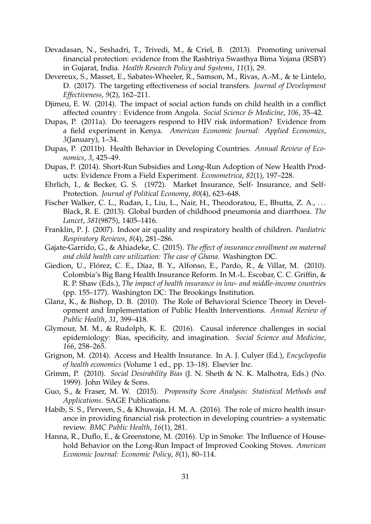- <span id="page-35-0"></span>Devadasan, N., Seshadri, T., Trivedi, M., & Criel, B. (2013). Promoting universal financial protection: evidence from the Rashtriya Swasthya Bima Yojana (RSBY) in Gujarat, India. *Health Research Policy and Systems*, *11*(1), 29.
- <span id="page-35-8"></span>Devereux, S., Masset, E., Sabates-Wheeler, R., Samson, M., Rivas, A.-M., & te Lintelo, D. (2017). The targeting effectiveness of social transfers. *Journal of Development Effectiveness*, *9*(2), 162–211.
- <span id="page-35-14"></span>Djimeu, E. W. (2014). The impact of social action funds on child health in a conflict affected country : Evidence from Angola. *Social Science & Medicine*, *106*, 35–42.
- <span id="page-35-7"></span>Dupas, P. (2011a). Do teenagers respond to HIV risk information? Evidence from a field experiment in Kenya. *American Economic Journal: Applied Economics*, *3*(January), 1–34.
- <span id="page-35-4"></span>Dupas, P. (2011b). Health Behavior in Developing Countries. *Annual Review of Economics*, *3*, 425–49.
- <span id="page-35-6"></span>Dupas, P. (2014). Short-Run Subsidies and Long-Run Adoption of New Health Products: Evidence From a Field Experiment. *Econometrica*, *82*(1), 197–228.
- <span id="page-35-10"></span>Ehrlich, I., & Becker, G. S. (1972). Market Insurance, Self- Insurance, and Self-Protection. *Journal of Political Economy*, *80*(4), 623–648.
- <span id="page-35-2"></span>Fischer Walker, C. L., Rudan, I., Liu, L., Nair, H., Theodoratou, E., Bhutta, Z. A., ... Black, R. E. (2013). Global burden of childhood pneumonia and diarrhoea. *The Lancet*, *381*(9875), 1405–1416.
- <span id="page-35-5"></span>Franklin, P. J. (2007). Indoor air quality and respiratory health of children. *Paediatric Respiratory Reviews*, *8*(4), 281–286.
- <span id="page-35-13"></span>Gajate-Garrido, G., & Ahiadeke, C. (2015). *The effect of insurance enrollment on maternal and child health care utilization: The case of Ghana.* Washington DC.
- <span id="page-35-12"></span>Giedion, U., Flórez, C. E., Díaz, B. Y., Alfonso, E., Pardo, R., & Villar, M. (2010). Colombia's Big Bang Health Insurance Reform. In M.-L. Escobar, C. C. Griffin, & R. P. Shaw (Eds.), *The impact of health insurance in low- and middle-income countries* (pp. 155–177). Washington DC: The Brookings Institution.
- <span id="page-35-9"></span>Glanz, K., & Bishop, D. B. (2010). The Role of Behavioral Science Theory in Development and Implementation of Public Health Interventions. *Annual Review of Public Health*, *31*, 399–418.
- <span id="page-35-16"></span>Glymour, M. M., & Rudolph, K. E. (2016). Causal inference challenges in social epidemiology: Bias, specificity, and imagination. *Social Science and Medicine*, *166*, 258–265.
- <span id="page-35-11"></span>Grignon, M. (2014). Access and Health Insurance. In A. J. Culyer (Ed.), *Encyclopedia of health economics* (Volume 1 ed., pp. 13–18). Elsevier Inc.
- <span id="page-35-17"></span>Grimm, P. (2010). *Social Desirability Bias* (J. N. Sheth & N. K. Malhotra, Eds.) (No. 1999). John Wiley & Sons.
- <span id="page-35-15"></span>Guo, S., & Fraser, M. W. (2015). *Propensity Score Analysis: Statistical Methods and Applications*. SAGE Publications.
- <span id="page-35-1"></span>Habib, S. S., Perveen, S., & Khuwaja, H. M. A. (2016). The role of micro health insurance in providing financial risk protection in developing countries- a systematic review. *BMC Public Health*, *16*(1), 281.
- <span id="page-35-3"></span>Hanna, R., Duflo, E., & Greenstone, M. (2016). Up in Smoke: The Influence of Household Behavior on the Long-Run Impact of Improved Cooking Stoves. *American Economic Journal: Economic Policy*, *8*(1), 80–114.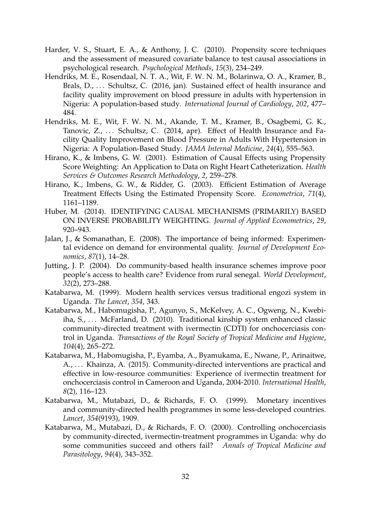- <span id="page-36-10"></span>Harder, V. S., Stuart, E. A., & Anthony, J. C. (2010). Propensity score techniques and the assessment of measured covariate balance to test causal associations in psychological research. *Psychological Methods*, *15*(3), 234–249.
- <span id="page-36-2"></span>Hendriks, M. E., Rosendaal, N. T. A., Wit, F. W. N. M., Bolarinwa, O. A., Kramer, B., Brals, D., ... Schultsz, C. (2016, jan). Sustained effect of health insurance and facility quality improvement on blood pressure in adults with hypertension in Nigeria: A population-based study. *International Journal of Cardiology*, *202*, 477– 484.
- <span id="page-36-3"></span>Hendriks, M. E., Wit, F. W. N. M., Akande, T. M., Kramer, B., Osagbemi, G. K., Tanovic, Z., ... Schultsz, C. (2014, apr). Effect of Health Insurance and Facility Quality Improvement on Blood Pressure in Adults With Hypertension in Nigeria: A Population-Based Study. *JAMA Internal Medicine*, *24*(4), 555–563.
- <span id="page-36-9"></span>Hirano, K., & Imbens, G. W. (2001). Estimation of Causal Effects using Propensity Score Weighting: An Application to Data on Right Heart Catheterization. *Health Services & Outcomes Research Methodology*, *2*, 259–278.
- <span id="page-36-7"></span>Hirano, K., Imbens, G. W., & Ridder, G. (2003). Efficient Estimation of Average Treatment Effects Using the Estimated Propensity Score. *Econometrica*, *71*(4), 1161–1189.
- <span id="page-36-8"></span>Huber, M. (2014). IDENTIFYING CAUSAL MECHANISMS (PRIMARILY) BASED ON INVERSE PROBABILITY WEIGHTING. *Journal of Applied Econometrics*, *29*, 920–943.
- <span id="page-36-1"></span>Jalan, J., & Somanathan, E. (2008). The importance of being informed: Experimental evidence on demand for environmental quality. *Journal of Development Economics*, *87*(1), 14–28.
- <span id="page-36-0"></span>Jutting, J. P. (2004). Do community-based health insurance schemes improve poor people's access to health care? Evidence from rural senegal. *World Development*, *32*(2), 273–288.
- <span id="page-36-11"></span>Katabarwa, M. (1999). Modern health services versus traditional engozi system in Uganda. *The Lancet*, *354*, 343.
- <span id="page-36-5"></span>Katabarwa, M., Habomugisha, P., Agunyo, S., McKelvey, A. C., Ogweng, N., Kwebiiha, S., ... McFarland, D. (2010). Traditional kinship system enhanced classic community-directed treatment with ivermectin (CDTI) for onchocerciasis control in Uganda. *Transactions of the Royal Society of Tropical Medicine and Hygiene*, *104*(4), 265–272.
- <span id="page-36-12"></span>Katabarwa, M., Habomugisha, P., Eyamba, A., Byamukama, E., Nwane, P., Arinaitwe, A., ... Khainza, A. (2015). Community-directed interventions are practical and effective in low-resource communities: Experience of ivermectin treatment for onchocerciasis control in Cameroon and Uganda, 2004-2010. *International Health*, *8*(2), 116–123.
- <span id="page-36-4"></span>Katabarwa, M., Mutabazi, D., & Richards, F. O. (1999). Monetary incentives and community-directed health programmes in some less-developed countries. *Lancet*, *354*(9193), 1909.
- <span id="page-36-6"></span>Katabarwa, M., Mutabazi, D., & Richards, F. O. (2000). Controlling onchocerciasis by community-directed, ivermectin-treatment programmes in Uganda: why do some communities succeed and others fail? *Annals of Tropical Medicine and Parasitology*, *94*(4), 343–352.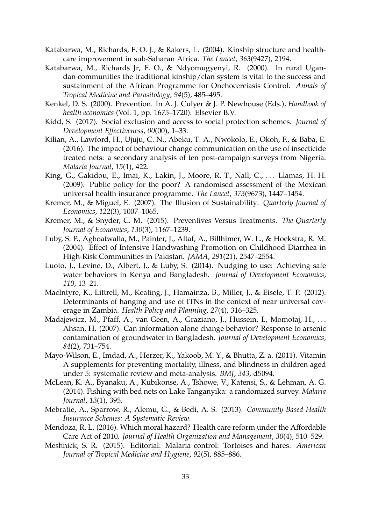- <span id="page-37-10"></span>Katabarwa, M., Richards, F. O. J., & Rakers, L. (2004). Kinship structure and healthcare improvement in sub-Saharan Africa. *The Lancet*, *363*(9427), 2194.
- <span id="page-37-14"></span>Katabarwa, M., Richards Jr, F. O., & Ndyomugyenyi, R. (2000). In rural Ugandan communities the traditional kinship/clan system is vital to the success and sustainment of the African Programme for Onchocerciasis Control. *Annals of Tropical Medicine and Parasitology*, *94*(5), 485–495.
- <span id="page-37-1"></span>Kenkel, D. S. (2000). Prevention. In A. J. Culyer & J. P. Newhouse (Eds.), *Handbook of health economics* (Vol. 1, pp. 1675–1720). Elsevier B.V.
- <span id="page-37-6"></span>Kidd, S. (2017). Social exclusion and access to social protection schemes. *Journal of Development Effectiveness*, *00*(00), 1–33.
- <span id="page-37-12"></span>Kilian, A., Lawford, H., Ujuju, C. N., Abeku, T. A., Nwokolo, E., Okoh, F., & Baba, E. (2016). The impact of behaviour change communication on the use of insecticide treated nets: a secondary analysis of ten post-campaign surveys from Nigeria. *Malaria Journal*, *15*(1), 422.
- <span id="page-37-9"></span>King, G., Gakidou, E., Imai, K., Lakin, J., Moore, R. T., Nall, C., ... Llamas, H. H. (2009). Public policy for the poor? A randomised assessment of the Mexican universal health insurance programme. *The Lancet*, *373*(9673), 1447–1454.
- <span id="page-37-3"></span>Kremer, M., & Miguel, E. (2007). The Illusion of Sustainability. *Quarterly Journal of Economics*, *122*(3), 1007–1065.
- <span id="page-37-2"></span>Kremer, M., & Snyder, C. M. (2015). Preventives Versus Treatments. *The Quarterly Journal of Economics*, *130*(3), 1167–1239.
- <span id="page-37-4"></span>Luby, S. P., Agboatwalla, M., Painter, J., Altaf, A., Billhimer, W. L., & Hoekstra, R. M. (2004). Effect of Intensive Handwashing Promotion on Childhood Diarrhea in High-Risk Communities in Pakistan. *JAMA*, *291*(21), 2547–2554.
- <span id="page-37-15"></span>Luoto, J., Levine, D., Albert, J., & Luby, S. (2014). Nudging to use: Achieving safe water behaviors in Kenya and Bangladesh. *Journal of Development Economics*, *110*, 13–21.
- <span id="page-37-13"></span>MacIntyre, K., Littrell, M., Keating, J., Hamainza, B., Miller, J., & Eisele, T. P. (2012). Determinants of hanging and use of ITNs in the context of near universal coverage in Zambia. *Health Policy and Planning*, *27*(4), 316–325.
- <span id="page-37-5"></span>Madajewicz, M., Pfaff, A., van Geen, A., Graziano, J., Hussein, I., Momotaj, H., ... Ahsan, H. (2007). Can information alone change behavior? Response to arsenic contamination of groundwater in Bangladesh. *Journal of Development Economics*, *84*(2), 731–754.
- <span id="page-37-11"></span>Mayo-Wilson, E., Imdad, A., Herzer, K., Yakoob, M. Y., & Bhutta, Z. a. (2011). Vitamin A supplements for preventing mortality, illness, and blindness in children aged under 5: systematic review and meta-analysis. *BMJ*, *343*, d5094.
- <span id="page-37-7"></span>McLean, K. A., Byanaku, A., Kubikonse, A., Tshowe, V., Katensi, S., & Lehman, A. G. (2014). Fishing with bed nets on Lake Tanganyika: a randomized survey. *Malaria Journal*, *13*(1), 395.
- <span id="page-37-0"></span>Mebratie, A., Sparrow, R., Alemu, G., & Bedi, A. S. (2013). *Community-Based Health Insurance Schemes: A Systematic Review.*
- <span id="page-37-8"></span>Mendoza, R. L. (2016). Which moral hazard? Health care reform under the Affordable Care Act of 2010. *Journal of Health Organization and Management*, *30*(4), 510–529.
- <span id="page-37-16"></span>Meshnick, S. R. (2015). Editorial: Malaria control: Tortoises and hares. *American Journal of Tropical Medicine and Hygiene*, *92*(5), 885–886.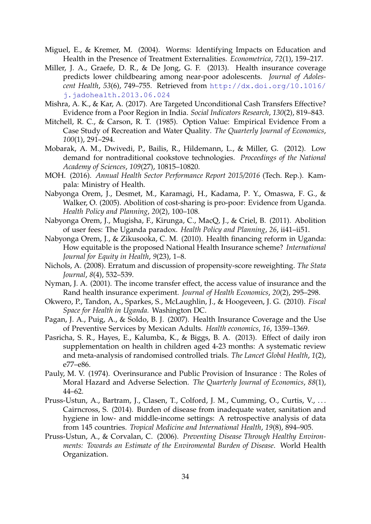- <span id="page-38-16"></span>Miguel, E., & Kremer, M. (2004). Worms: Identifying Impacts on Education and Health in the Presence of Treatment Externalities. *Econometrica*, *72*(1), 159–217.
- <span id="page-38-11"></span>Miller, J. A., Graefe, D. R., & De Jong, G. F. (2013). Health insurance coverage predicts lower childbearing among near-poor adolescents. *Journal of Adolescent Health*, *53*(6), 749–755. Retrieved from [http://dx.doi.org/10.1016/](http://dx.doi.org/10.1016/j.jadohealth.2013.06.024) [j.jadohealth.2013.06.024](http://dx.doi.org/10.1016/j.jadohealth.2013.06.024)
- <span id="page-38-7"></span>Mishra, A. K., & Kar, A. (2017). Are Targeted Unconditional Cash Transfers Effective? Evidence from a Poor Region in India. *Social Indicators Research*, *130*(2), 819–843.
- <span id="page-38-13"></span>Mitchell, R. C., & Carson, R. T. (1985). Option Value: Empirical Evidence From a Case Study of Recreation and Water Quality. *The Quarterly Journal of Economics*, *100*(1), 291–294.
- <span id="page-38-8"></span>Mobarak, A. M., Dwivedi, P., Bailis, R., Hildemann, L., & Miller, G. (2012). Low demand for nontraditional cookstove technologies. *Proceedings of the National Academy of Sciences*, *109*(27), 10815–10820.
- <span id="page-38-6"></span>MOH. (2016). *Annual Health Sector Performance Report 2015/2016* (Tech. Rep.). Kampala: Ministry of Health.
- <span id="page-38-3"></span>Nabyonga Orem, J., Desmet, M., Karamagi, H., Kadama, P. Y., Omaswa, F. G., & Walker, O. (2005). Abolition of cost-sharing is pro-poor: Evidence from Uganda. *Health Policy and Planning*, *20*(2), 100–108.
- <span id="page-38-4"></span>Nabyonga Orem, J., Mugisha, F., Kirunga, C., MacQ, J., & Criel, B. (2011). Abolition of user fees: The Uganda paradox. *Health Policy and Planning*, *26*, ii41–ii51.
- <span id="page-38-0"></span>Nabyonga Orem, J., & Zikusooka, C. M. (2010). Health financing reform in Uganda: How equitable is the proposed National Health Insurance scheme? *International Journal for Equity in Health*, *9*(23), 1–8.
- <span id="page-38-14"></span>Nichols, A. (2008). Erratum and discussion of propensity-score reweighting. *The Stata Journal*, *8*(4), 532–539.
- <span id="page-38-10"></span>Nyman, J. A. (2001). The income transfer effect, the access value of insurance and the Rand health insurance experiment. *Journal of Health Economics*, *20*(2), 295–298.
- <span id="page-38-5"></span>Okwero, P., Tandon, A., Sparkes, S., McLaughlin, J., & Hoogeveen, J. G. (2010). *Fiscal Space for Health in Uganda.* Washington DC.
- <span id="page-38-12"></span>Pagan, J. A., Puig, A., & Soldo, B. J. (2007). Health Insurance Coverage and the Use of Preventive Services by Mexican Adults. *Health economics*, *16*, 1359–1369.
- <span id="page-38-15"></span>Pasricha, S. R., Hayes, E., Kalumba, K., & Biggs, B. A. (2013). Effect of daily iron supplementation on health in children aged 4-23 months: A systematic review and meta-analysis of randomised controlled trials. *The Lancet Global Health*, *1*(2), e77–e86.
- <span id="page-38-9"></span>Pauly, M. V. (1974). Overinsurance and Public Provision of Insurance : The Roles of Moral Hazard and Adverse Selection. *The Quarterly Journal of Economics*, *88*(1), 44–62.
- <span id="page-38-2"></span>Pruss-Ustun, A., Bartram, J., Clasen, T., Colford, J. M., Cumming, O., Curtis, V., ... Cairncross, S. (2014). Burden of disease from inadequate water, sanitation and hygiene in low- and middle-income settings: A retrospective analysis of data from 145 countries. *Tropical Medicine and International Health*, *19*(8), 894–905.
- <span id="page-38-1"></span>Pruss-Ustun, A., & Corvalan, C. (2006). *Preventing Disease Through Healthy Environments: Towards an Estimate of the Enviromental Burden of Disease*. World Health Organization.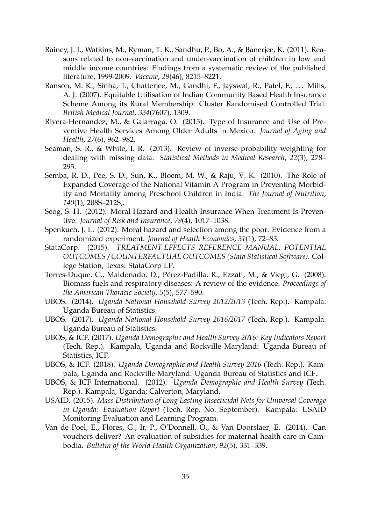- <span id="page-39-1"></span>Rainey, J. J., Watkins, M., Ryman, T. K., Sandhu, P., Bo, A., & Banerjee, K. (2011). Reasons related to non-vaccination and under-vaccination of children in low and middle income countries: Findings from a systematic review of the published literature, 1999-2009. *Vaccine*, *29*(46), 8215–8221.
- <span id="page-39-0"></span>Ranson, M. K., Sinha, T., Chatterjee, M., Gandhi, F., Jayswal, R., Patel, F., ... Mills, A. J. (2007). Equitable Utilisation of Indian Community Based Health Insurance Scheme Among its Rural Membership: Cluster Randomised Controlled Trial. *British Medical Journal*, *334*(7607), 1309.
- <span id="page-39-8"></span>Rivera-Hernandez, M., & Galarraga, O. (2015). Type of Insurance and Use of Preventive Health Services Among Older Adults in Mexico. *Journal of Aging and Health*, *27*(6), 962–982.
- <span id="page-39-13"></span>Seaman, S. R., & White, I. R. (2013). Review of inverse probability weighting for dealing with missing data. *Statistical Methods in Medical Research*, *22*(3), 278– 295.
- <span id="page-39-14"></span>Semba, R. D., Pee, S. D., Sun, K., Bloem, M. W., & Raju, V. K. (2010). The Role of Expanded Coverage of the National Vitamin A Program in Preventing Morbidity and Mortality among Preschool Children in India. *The Journal of Nutrition*, *140*(1), 208S–212S,.
- <span id="page-39-7"></span>Seog, S. H. (2012). Moral Hazard and Health Insurance When Treatment Is Preventive. *Journal of Risk and Insurance*, *79*(4), 1017–1038.
- <span id="page-39-9"></span>Spenkuch, J. L. (2012). Moral hazard and selection among the poor: Evidence from a randomized experiment. *Journal of Health Economics*, *31*(1), 72–85.
- <span id="page-39-12"></span>StataCorp. (2015). *TREATMENT-EFFECTS REFERENCE MANUAL: POTENTIAL OUTCOMES / COUNTERFACTUAL OUTCOMES (Stata Statistical Software)*. College Station, Texas: StataCorp LP.
- <span id="page-39-2"></span>Torres-Duque, C., Maldonado, D., Pérez-Padilla, R., Ezzati, M., & Viegi, G. (2008). Biomass fuels and respiratory diseases: A review of the evidence. *Proceedings of the American Thoracic Society*, *5*(5), 577–590.
- <span id="page-39-10"></span>UBOS. (2014). *Uganda National Household Survey 2012/2013* (Tech. Rep.). Kampala: Uganda Bureau of Statistics.
- <span id="page-39-11"></span>UBOS. (2017). *Uganda National Household Survey 2016/2017* (Tech. Rep.). Kampala: Uganda Bureau of Statistics.
- <span id="page-39-15"></span>UBOS, & ICF. (2017). *Uganda Demographic and Health Survey 2016: Key Indicators Report* (Tech. Rep.). Kampala, Uganda and Rockville Maryland: Uganda Bureau of Statistics; ICF.
- <span id="page-39-4"></span>UBOS, & ICF. (2018). *Uganda Demographic and Health Survey 2016* (Tech. Rep.). Kampala, Uganda and Rockville Maryland: Uganda Bureau of Statistics and ICF.
- <span id="page-39-5"></span>UBOS, & ICF International. (2012). *Uganda Demographic and Health Survey* (Tech. Rep.). Kampala, Uganda; Calverton, Maryland.
- <span id="page-39-3"></span>USAID. (2015). *Mass Distribution of Long Lasting Insecticidal Nets for Universal Coverage in Uganda: Evaluation Report* (Tech. Rep. No. September). Kampala: USAID Monitoring Evaluation and Learning Program.
- <span id="page-39-6"></span>Van de Poel, E., Flores, G., Ir, P., O'Donnell, O., & Van Doorslaer, E. (2014). Can vouchers deliver? An evaluation of subsidies for maternal health care in Cambodia. *Bulletin of the World Health Organization*, *92*(5), 331–339.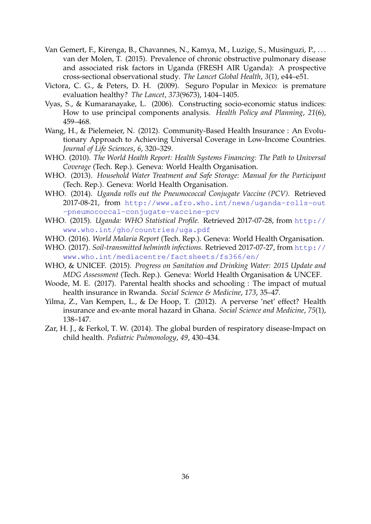- <span id="page-40-7"></span>Van Gemert, F., Kirenga, B., Chavannes, N., Kamya, M., Luzige, S., Musinguzi, P., . . . van der Molen, T. (2015). Prevalence of chronic obstructive pulmonary disease and associated risk factors in Uganda (FRESH AIR Uganda): A prospective cross-sectional observational study. *The Lancet Global Health*, *3*(1), e44–e51.
- <span id="page-40-9"></span>Victora, C. G., & Peters, D. H. (2009). Seguro Popular in Mexico: is premature evaluation healthy? *The Lancet*, *373*(9673), 1404–1405.
- <span id="page-40-11"></span>Vyas, S., & Kumaranayake, L. (2006). Constructing socio-economic status indices: How to use principal components analysis. *Health Policy and Planning*, *21*(6), 459–468.
- <span id="page-40-0"></span>Wang, H., & Pielemeier, N. (2012). Community-Based Health Insurance : An Evolutionary Approach to Achieving Universal Coverage in Low-Income Countries. *Journal of Life Sciences*, *6*, 320–329.
- <span id="page-40-1"></span>WHO. (2010). *The World Health Report: Health Systems Financing: The Path to Universal Coverage* (Tech. Rep.). Geneva: World Health Organisation.
- <span id="page-40-12"></span>WHO. (2013). *Household Water Treatment and Safe Storage: Manual for the Participant* (Tech. Rep.). Geneva: World Health Organisation.
- <span id="page-40-13"></span>WHO. (2014). *Uganda rolls out the Pneumococcal Conjugate Vaccine (PCV).* Retrieved 2017-08-21, from [http://www.afro.who.int/news/uganda-rolls-out](http://www.afro.who.int/news/uganda-rolls-out-pneumococcal-conjugate-vaccine-pcv) [-pneumococcal-conjugate-vaccine-pcv](http://www.afro.who.int/news/uganda-rolls-out-pneumococcal-conjugate-vaccine-pcv)
- <span id="page-40-3"></span>WHO. (2015). *Uganda: WHO Statistical Profile.* Retrieved 2017-07-28, from [http://](http://www.who.int/gho/countries/uga.pdf) [www.who.int/gho/countries/uga.pdf](http://www.who.int/gho/countries/uga.pdf)
- <span id="page-40-2"></span>WHO. (2016). *World Malaria Report* (Tech. Rep.). Geneva: World Health Organisation.
- <span id="page-40-5"></span>WHO. (2017). *Soil-transmitted helminth infections.* Retrieved 2017-07-27, from [http://](http://www.who.int/mediacentre/factsheets/fs366/en/) [www.who.int/mediacentre/factsheets/fs366/en/](http://www.who.int/mediacentre/factsheets/fs366/en/)
- <span id="page-40-6"></span>WHO, & UNICEF. (2015). *Progress on Sanitation and Drinking Water: 2015 Update and MDG Assessment* (Tech. Rep.). Geneva: World Health Organisation & UNCEF.
- <span id="page-40-10"></span>Woode, M. E. (2017). Parental health shocks and schooling : The impact of mutual health insurance in Rwanda. *Social Science & Medicine*, *173*, 35–47.
- <span id="page-40-8"></span>Yilma, Z., Van Kempen, L., & De Hoop, T. (2012). A perverse 'net' effect? Health insurance and ex-ante moral hazard in Ghana. *Social Science and Medicine*, *75*(1), 138–147.
- <span id="page-40-4"></span>Zar, H. J., & Ferkol, T. W. (2014). The global burden of respiratory disease-Impact on child health. *Pediatric Pulmonology*, *49*, 430–434.